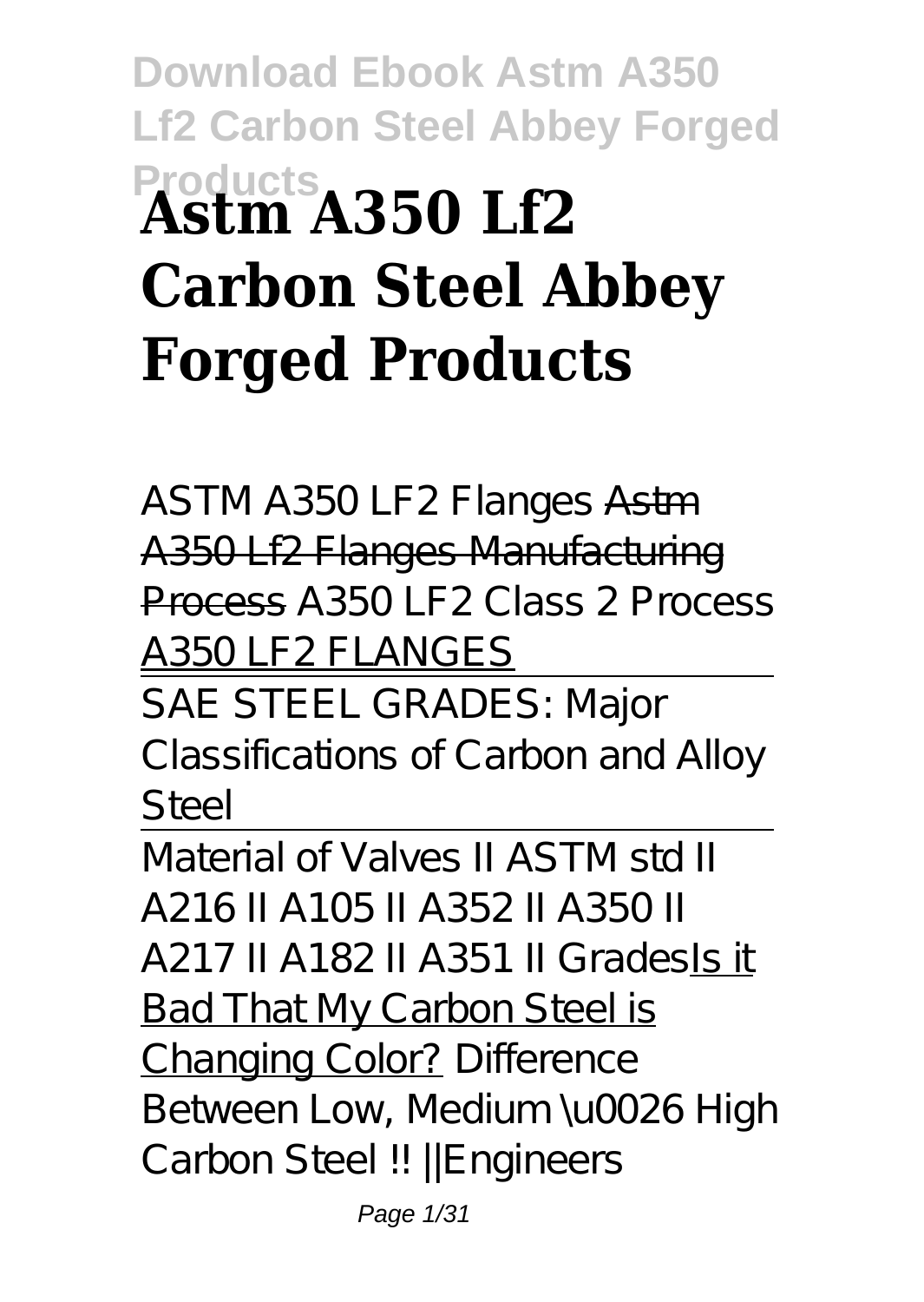# **Download Ebook Astm A350 Lf2 Carbon Steel Abbey Forged Products Astm A350 Lf2 Carbon Steel Abbey Forged Products**

ASTM A350 LF2 Flanges Astm A350 Lf2 Flanges Manufacturing Process A350 LF2 Class 2 Process A350 LF2 FLANGES

SAE STEEL GRADES: Major Classifications of Carbon and Alloy Steel

Material of Valves II ASTM std II A216 II A105 II A352 II A350 II A217 II A182 II A351 II GradesIs it Bad That My Carbon Steel is Changing Color? *Difference Between Low, Medium \u0026 High Carbon Steel !! ||Engineers*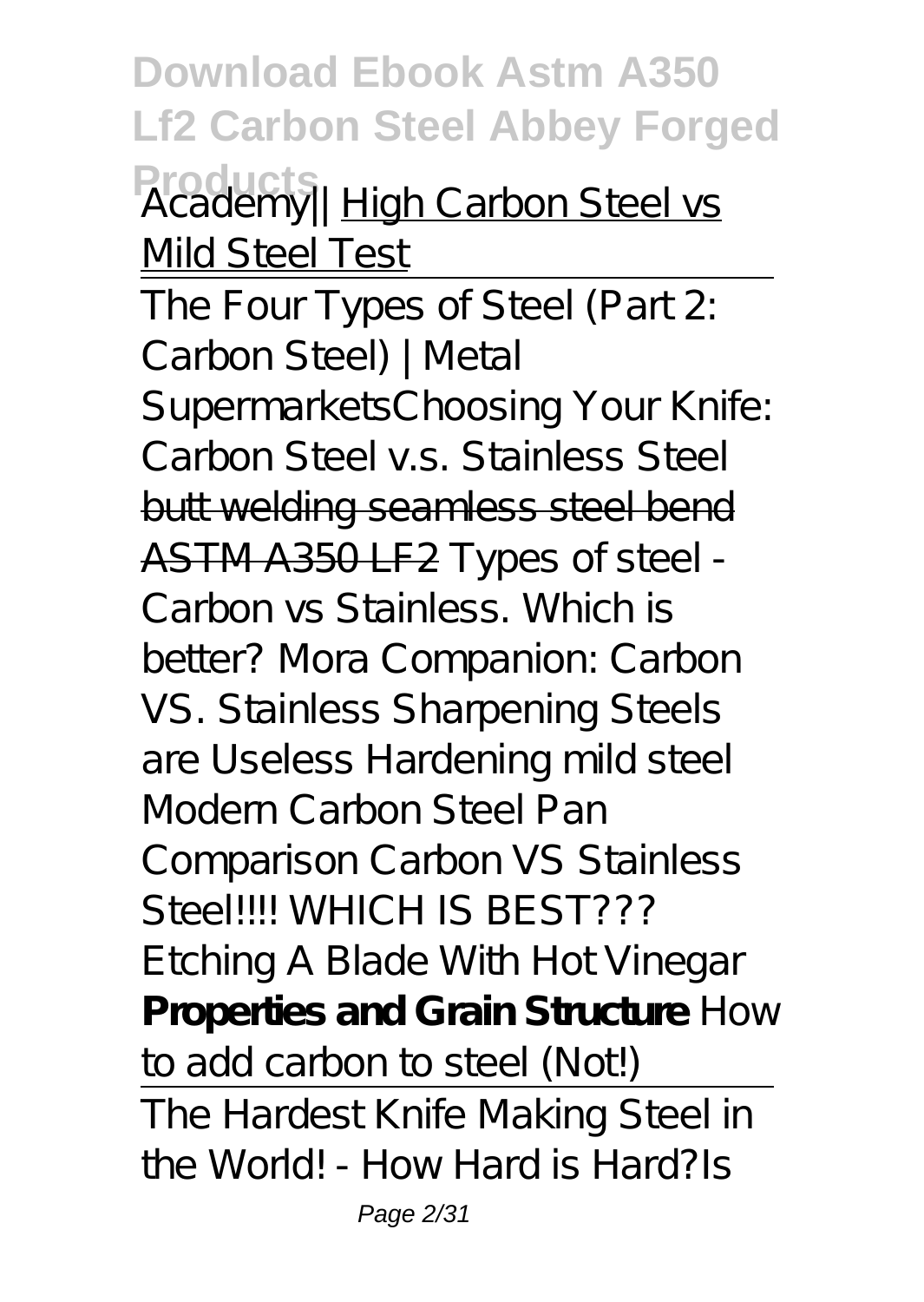**Download Ebook Astm A350 Lf2 Carbon Steel Abbey Forged Products** *Academy||* High Carbon Steel vs Mild Steel Test

The Four Types of Steel (Part 2: Carbon Steel) | Metal Supermarkets*Choosing Your Knife: Carbon Steel v.s. Stainless Steel* butt welding seamless steel bend ASTM A350 LF2 *Types of steel - Carbon vs Stainless. Which is better? Mora Companion: Carbon VS. Stainless Sharpening Steels are Useless Hardening mild steel* Modern Carbon Steel Pan Comparison *Carbon VS Stainless Steel!!!! WHICH IS BEST??? Etching A Blade With Hot Vinegar* **Properties and Grain Structure** *How to add carbon to steel (Not!)* The Hardest Knife Making Steel in the World! - How Hard is Hard?*Is*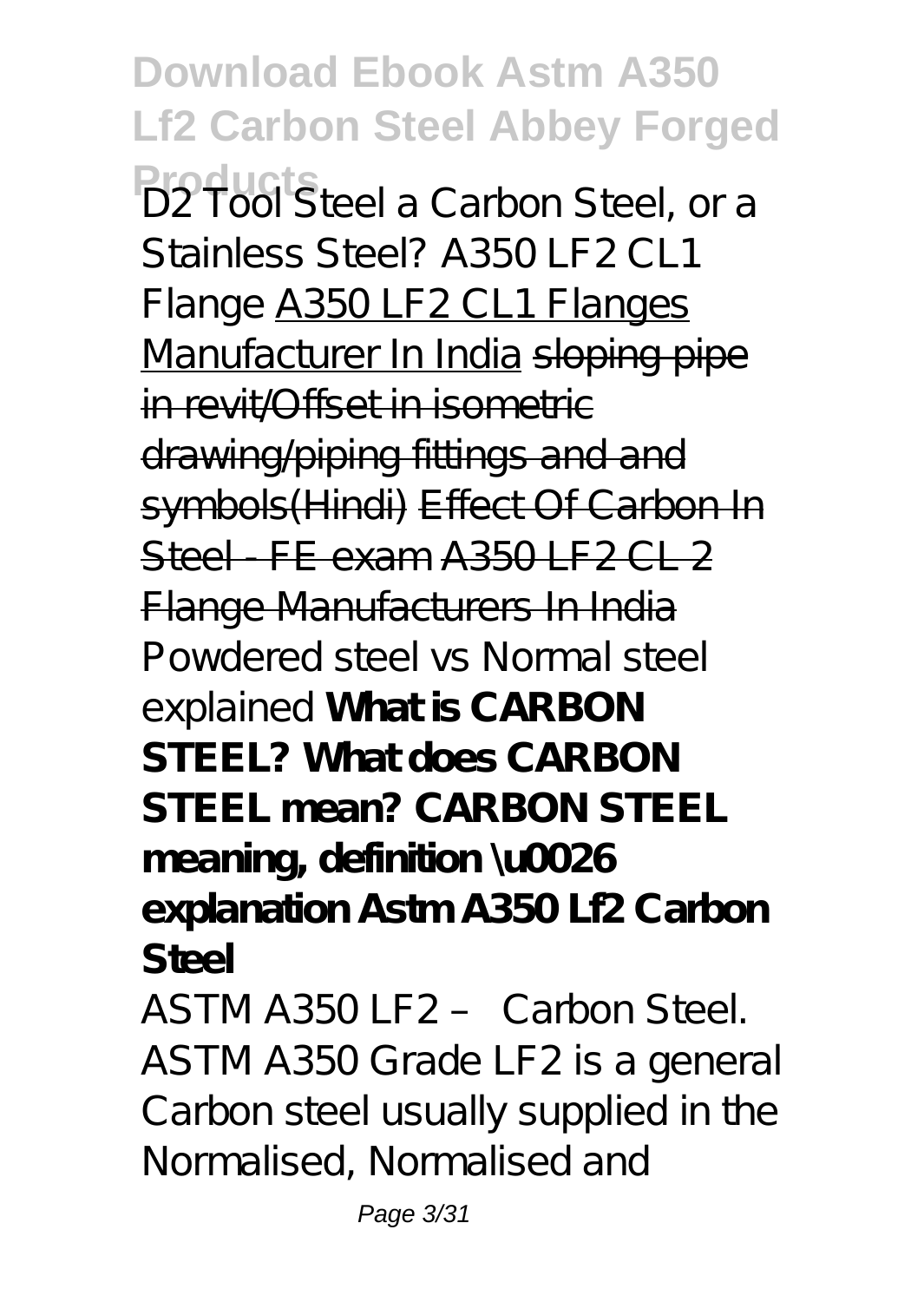**Download Ebook Astm A350 Lf2 Carbon Steel Abbey Forged Products** *D2 Tool Steel a Carbon Steel, or a Stainless Steel? A350 LF2 CL1 Flange* A350 LF2 CL1 Flanges Manufacturer In India sloping pipe in revit/Offset in isometric drawing/piping fittings and and symbols(Hindi) Effect Of Carbon In  $Stel$  FF exam  $A350$  F2 CL 2 Flange Manufacturers In India *Powdered steel vs Normal steel explained* **What is CARBON STEEL? What does CARBON STEEL mean? CARBON STEEL meaning, definition \u0026 explanation Astm A350 Lf2 Carbon Steel** ASTM A350 LF2 – Carbon Steel. ASTM A350 Grade LF2 is a general Carbon steel usually supplied in the Normalised, Normalised and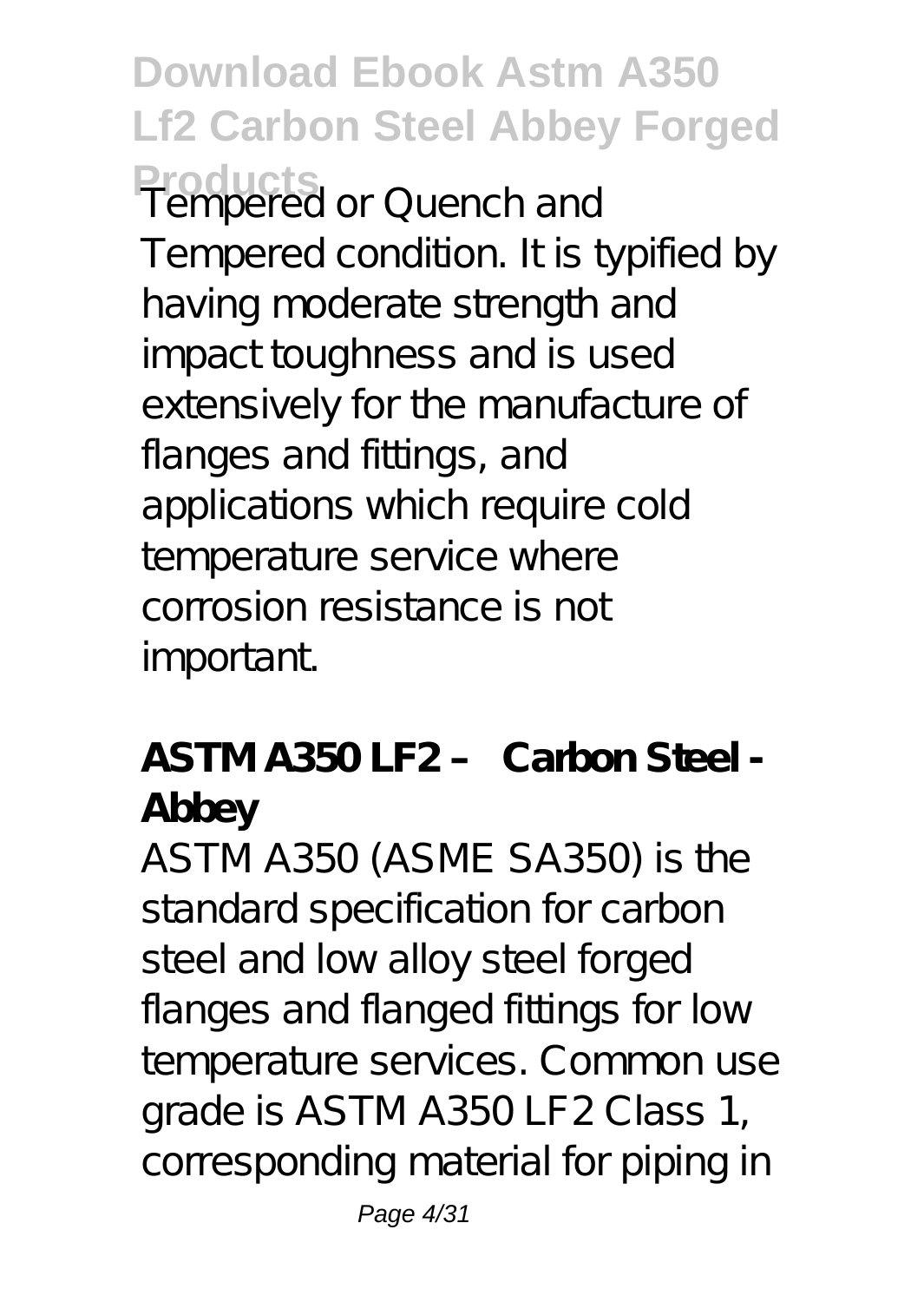**Download Ebook Astm A350 Lf2 Carbon Steel Abbey Forged Products** Tempered or Quench and Tempered condition. It is typified by having moderate strength and impact toughness and is used extensively for the manufacture of flanges and fittings, and applications which require cold temperature service where corrosion resistance is not important.

#### **ASTM A350 LF2 – Carbon Steel - Abbey**

ASTM A350 (ASME SA350) is the standard specification for carbon steel and low alloy steel forged flanges and flanged fittings for low temperature services. Common use grade is ASTM A350 LF2 Class 1, corresponding material for piping in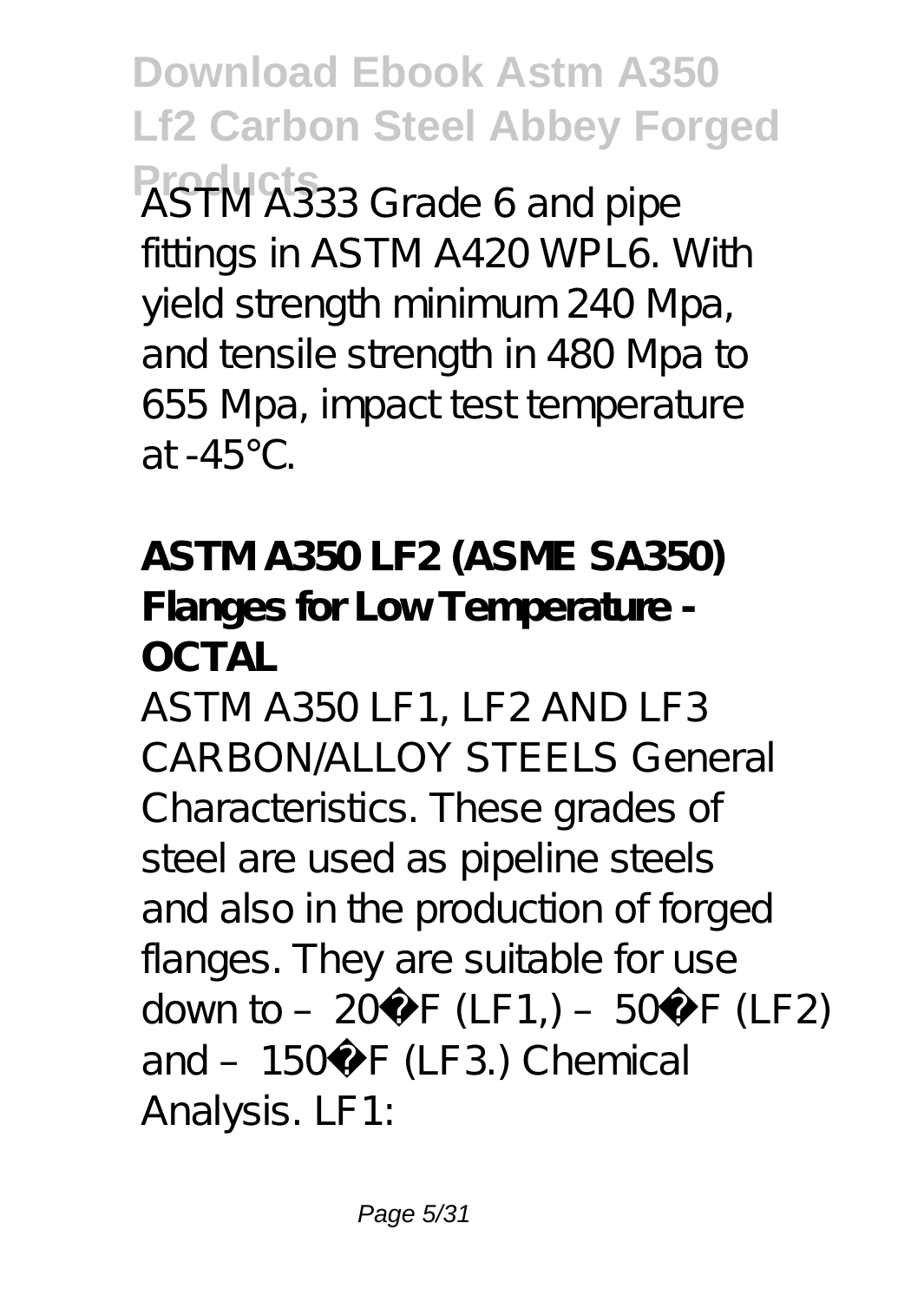**Download Ebook Astm A350 Lf2 Carbon Steel Abbey Forged Products** ASTM A333 Grade 6 and pipe fittings in ASTM A420 WPL6. With yield strength minimum 240 Mpa, and tensile strength in 480 Mpa to 655 Mpa, impact test temperature  $at -45$ 

**ASTM A350 LF2 (ASME SA350) Flanges for Low Temperature - OCTAL**

ASTM A350 LF1, LF2 AND LF3 CARBON/ALLOY STEELS General Characteristics. These grades of steel are used as pipeline steels and also in the production of forged flanges. They are suitable for use down to –  $20^{\circ}$  F (LF1,) –  $50^{\circ}$  F (LF2) and - 150° F (LF3.) Chemical Analysis. LF1: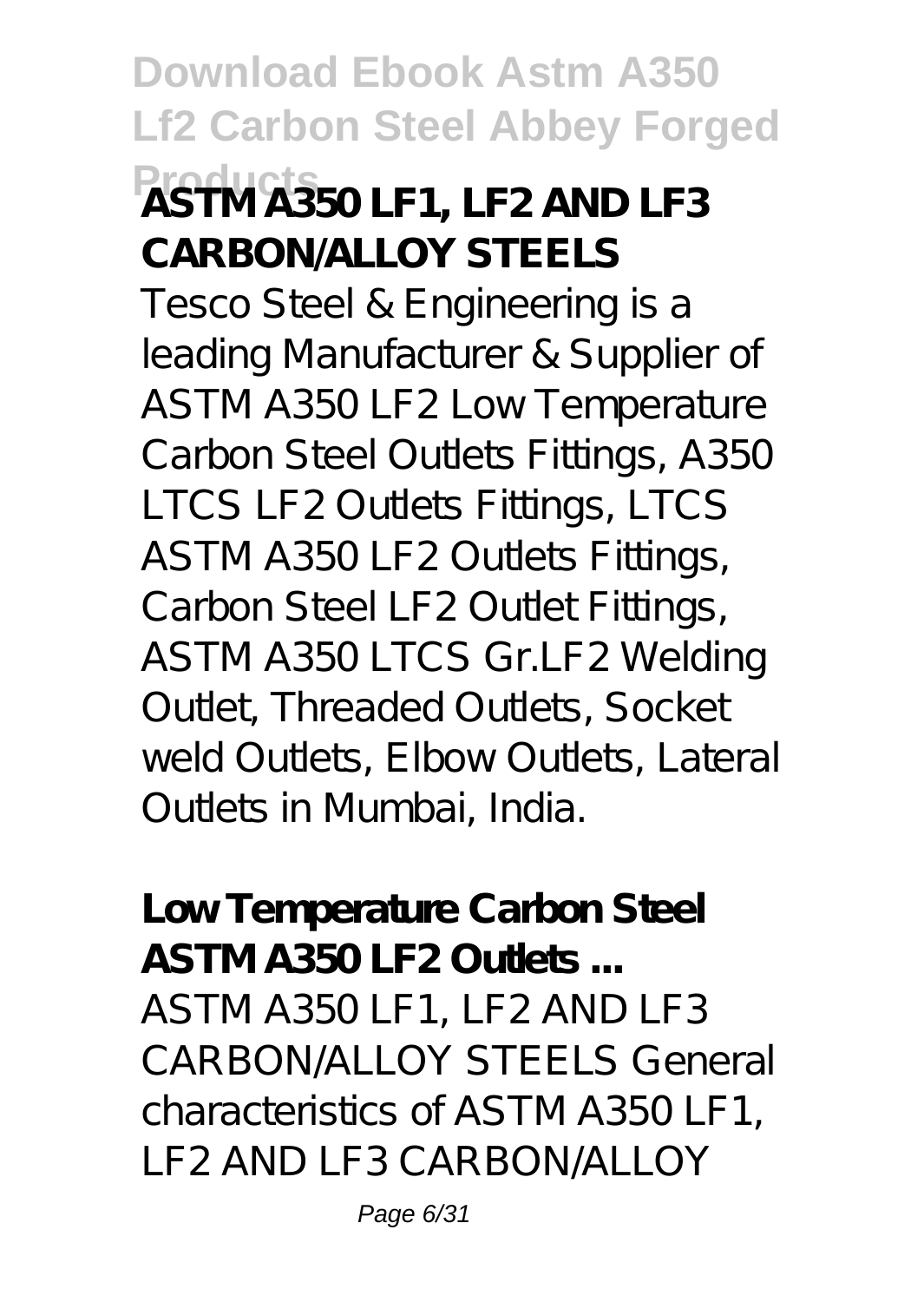### **Download Ebook Astm A350 Lf2 Carbon Steel Abbey Forged Products ASTM A350 LF1, LF2 AND LF3 CARBON/ALLOY STEELS**

Tesco Steel & Engineering is a leading Manufacturer & Supplier of ASTM A350 LF2 Low Temperature Carbon Steel Outlets Fittings, A350 LTCS LF2 Outlets Fittings, LTCS ASTM A350 LF2 Outlets Fittings, Carbon Steel LF2 Outlet Fittings, ASTM A350 LTCS Gr.LF2 Welding Outlet, Threaded Outlets, Socket weld Outlets, Elbow Outlets, Lateral Outlets in Mumbai, India.

**Low Temperature Carbon Steel ASTM A350 LF2 Outlets ...** ASTM A350 LF1, LF2 AND LF3 CARBON/ALLOY STEELS General characteristics of ASTM A350 LF1, LF2 AND LF3 CARBON/ALLOY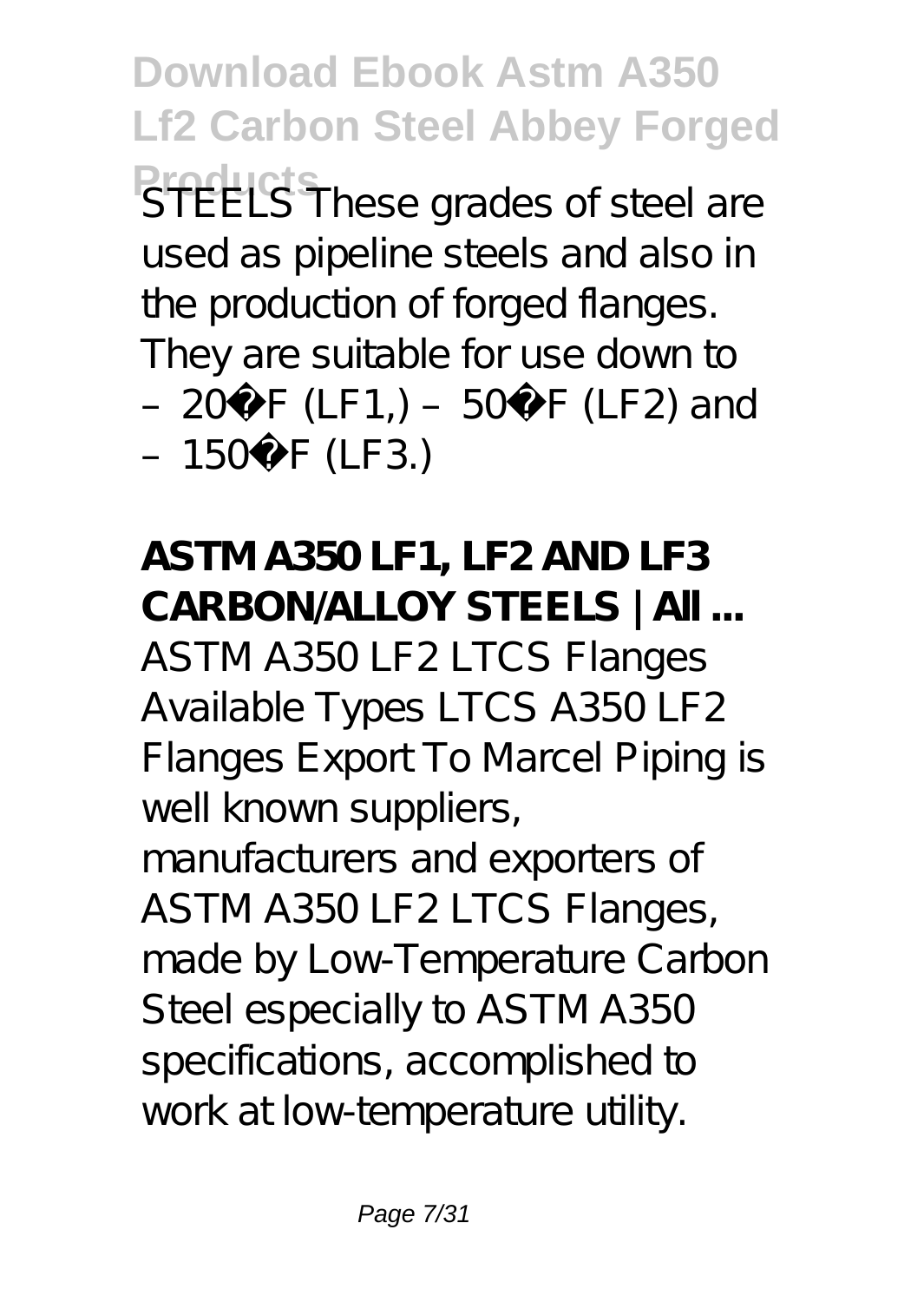**Download Ebook Astm A350 Lf2 Carbon Steel Abbey Forged Preducts** These grades of steel are used as pipeline steels and also in the production of forged flanges. They are suitable for use down to – 20 $\degree$  F (LF1,) – 50 $\degree$  F (LF2) and  $-150^{\circ}$  F (LF3.)

**ASTM A350 LF1, LF2 AND LF3 CARBON/ALLOY STEELS | All ...** ASTM A350 LF2 LTCS Flanges Available Types LTCS A350 LF2 Flanges Export To Marcel Piping is well known suppliers, manufacturers and exporters of ASTM A350 LF2 LTCS Flanges, made by Low-Temperature Carbon Steel especially to ASTM A350 specifications, accomplished to work at low-temperature utility.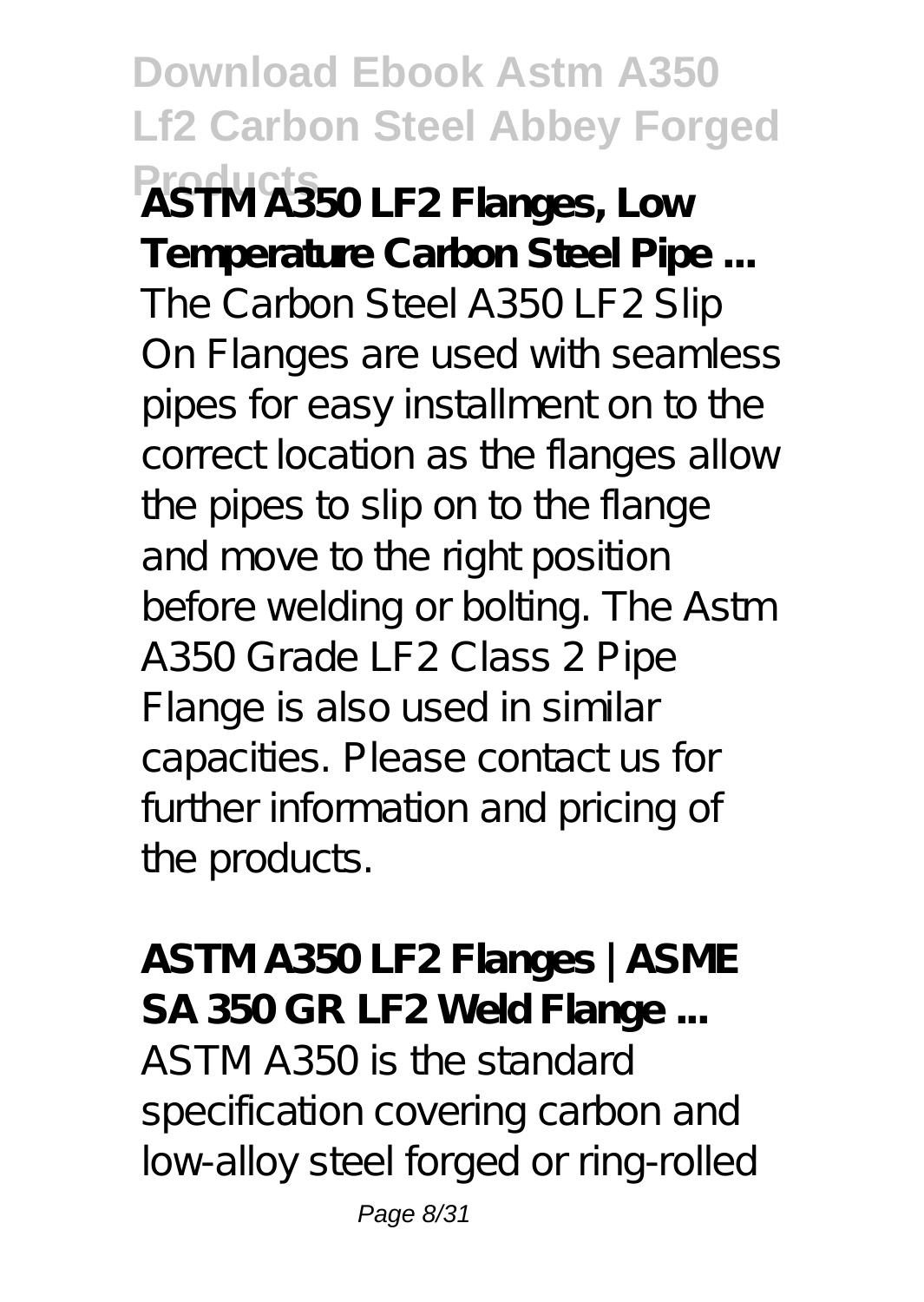**Download Ebook Astm A350 Lf2 Carbon Steel Abbey Forged Products ASTM A350 LF2 Flanges, Low Temperature Carbon Steel Pipe ...** The Carbon Steel A 350 LF 2 Slip On Flanges are used with seamless pipes for easy installment on to the correct location as the flanges allow the pipes to slip on to the flange and move to the right position before welding or bolting. The Astm A350 Grade LF2 Class 2 Pipe Flange is also used in similar capacities. Please contact us for further information and pricing of the products.

**ASTM A350 LF2 Flanges | ASME SA 350 GR LF2 Weld Flange ...** ASTM A350 is the standard specification covering carbon and low-alloy steel forged or ring-rolled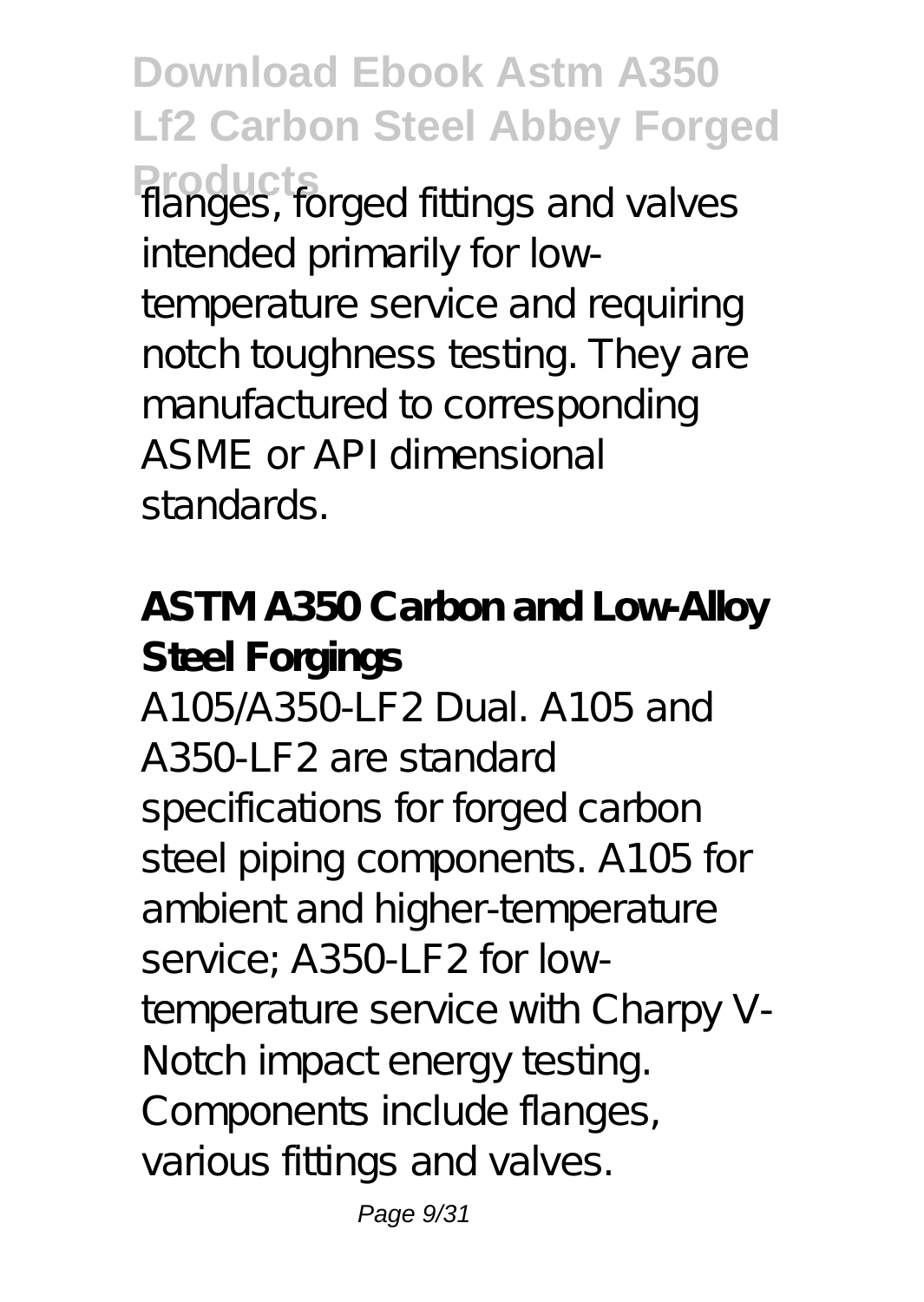**Download Ebook Astm A350 Lf2 Carbon Steel Abbey Forged Products** flanges, forged fittings and valves intended primarily for lowtemperature service and requiring notch toughness testing. They are manufactured to corresponding ASME or API dimensional standards.

**ASTM A350 Carbon and Low-Alloy Steel Forgings** A105/A350-LF2 Dual. A105 and A350-LF2 are standard specifications for forged carbon steel piping components. A105 for ambient and higher-temperature service; A350-LF2 for lowtemperature service with Charpy V-Notch impact energy testing. Components include flanges, various fittings and valves.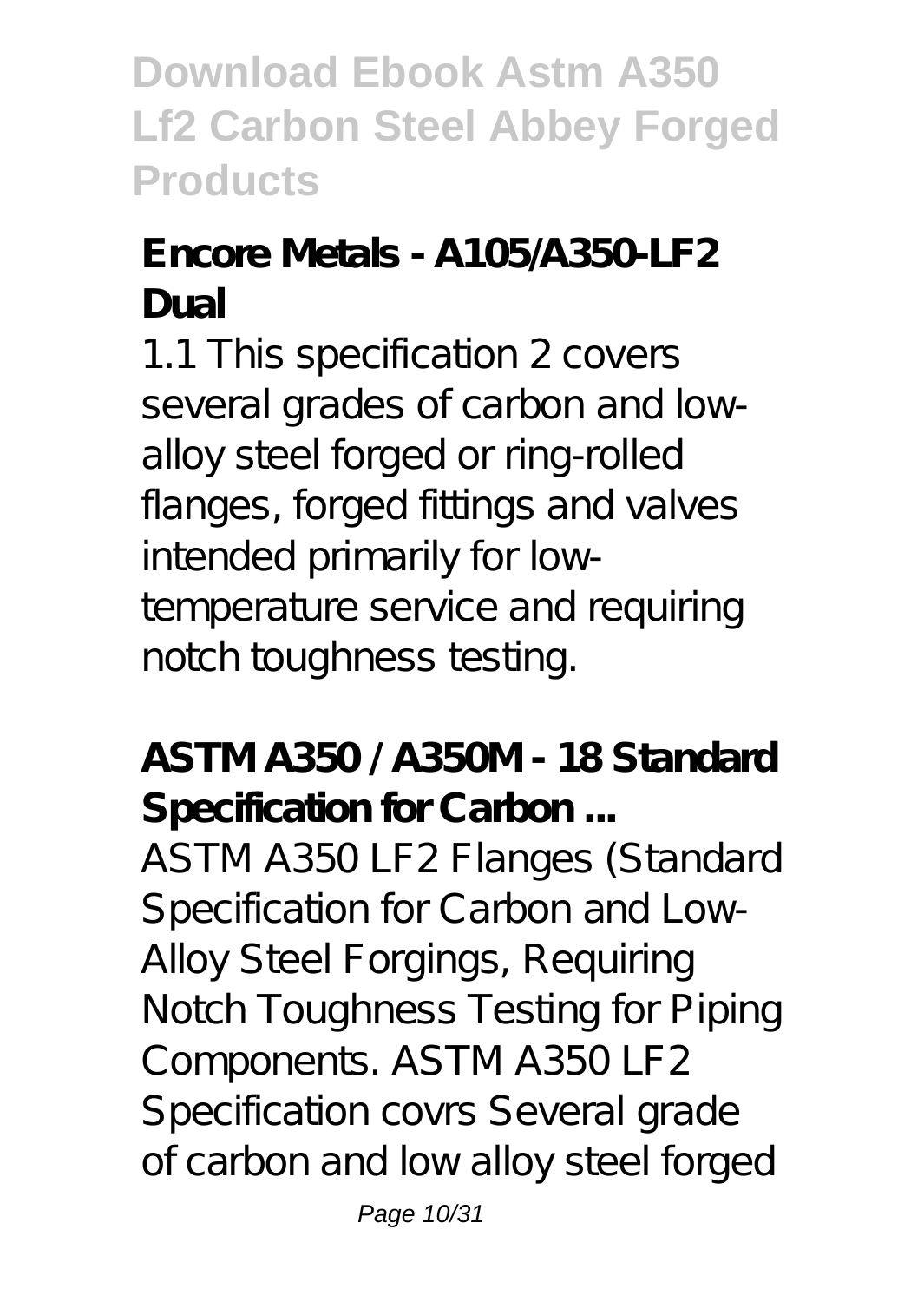**Download Ebook Astm A350 Lf2 Carbon Steel Abbey Forged Products**

#### **Encore Metals - A105/A350-LF2 Dual**

1.1 This specification 2 covers several grades of carbon and lowalloy steel forged or ring-rolled flanges, forged fittings and valves intended primarily for lowtemperature service and requiring notch toughness testing.

**ASTM A350 / A350M - 18 Standard Specification for Carbon ...**

ASTM A350 LF2 Flanges (Standard Specification for Carbon and Low-Alloy Steel Forgings, Requiring Notch Toughness Testing for Piping Components. ASTM A350 LF2 Specification covrs Several grade of carbon and low alloy steel forged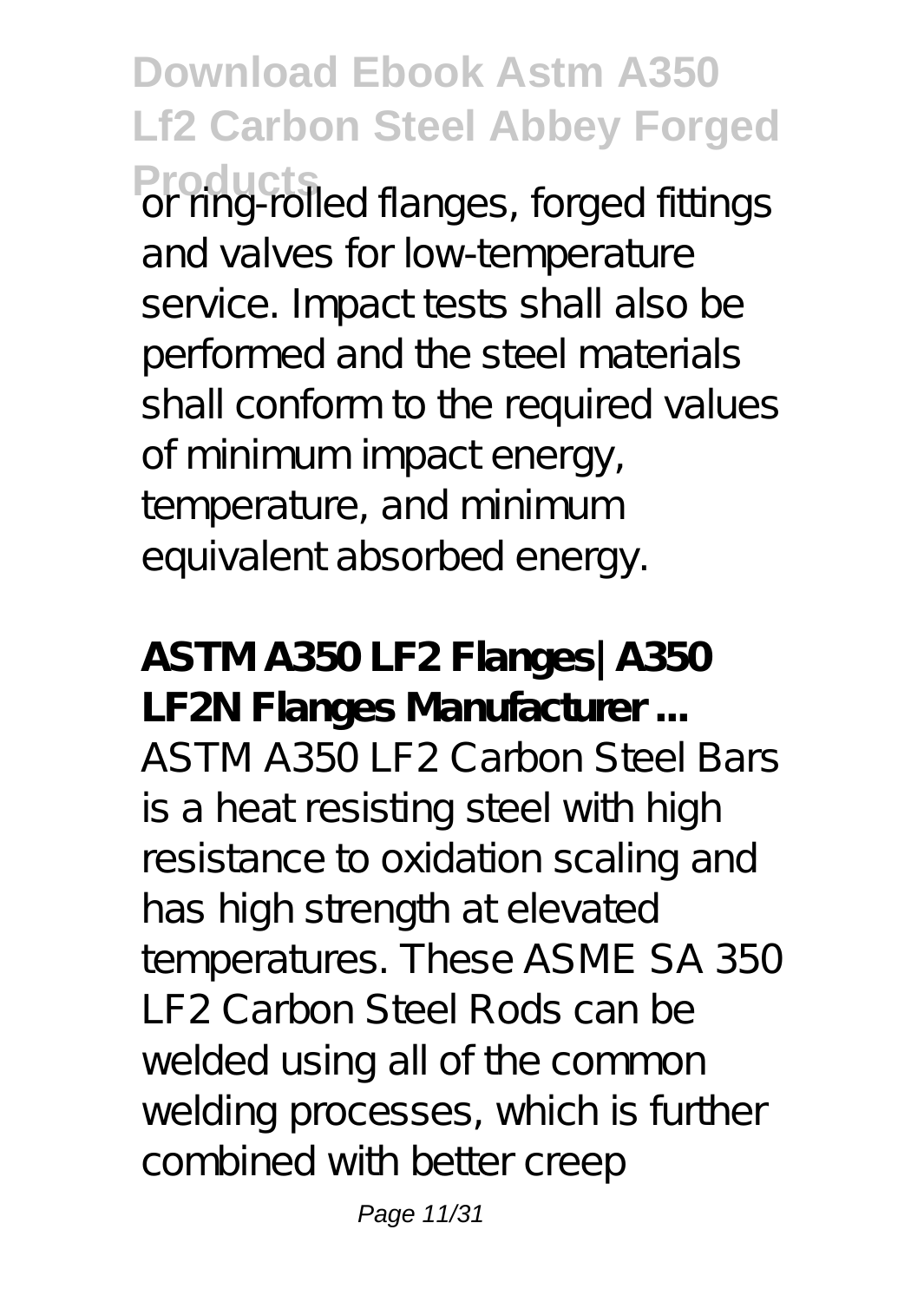**Download Ebook Astm A350 Lf2 Carbon Steel Abbey Forged** Products<br>
or ring-rolled flanges, forged fittings and valves for low-temperature service. Impact tests shall also be performed and the steel materials shall conform to the required values of minimum impact energy, temperature, and minimum equivalent absorbed energy.

**ASTM A350 LF2 Flanges| A350 LF2N Flanges Manufacturer ...** ASTM A350 LF2 Carbon Steel Bars is a heat resisting steel with high resistance to oxidation scaling and has high strength at elevated temperatures. These ASME SA 350 LF2 Carbon Steel Rods can be welded using all of the common welding processes, which is further combined with better creep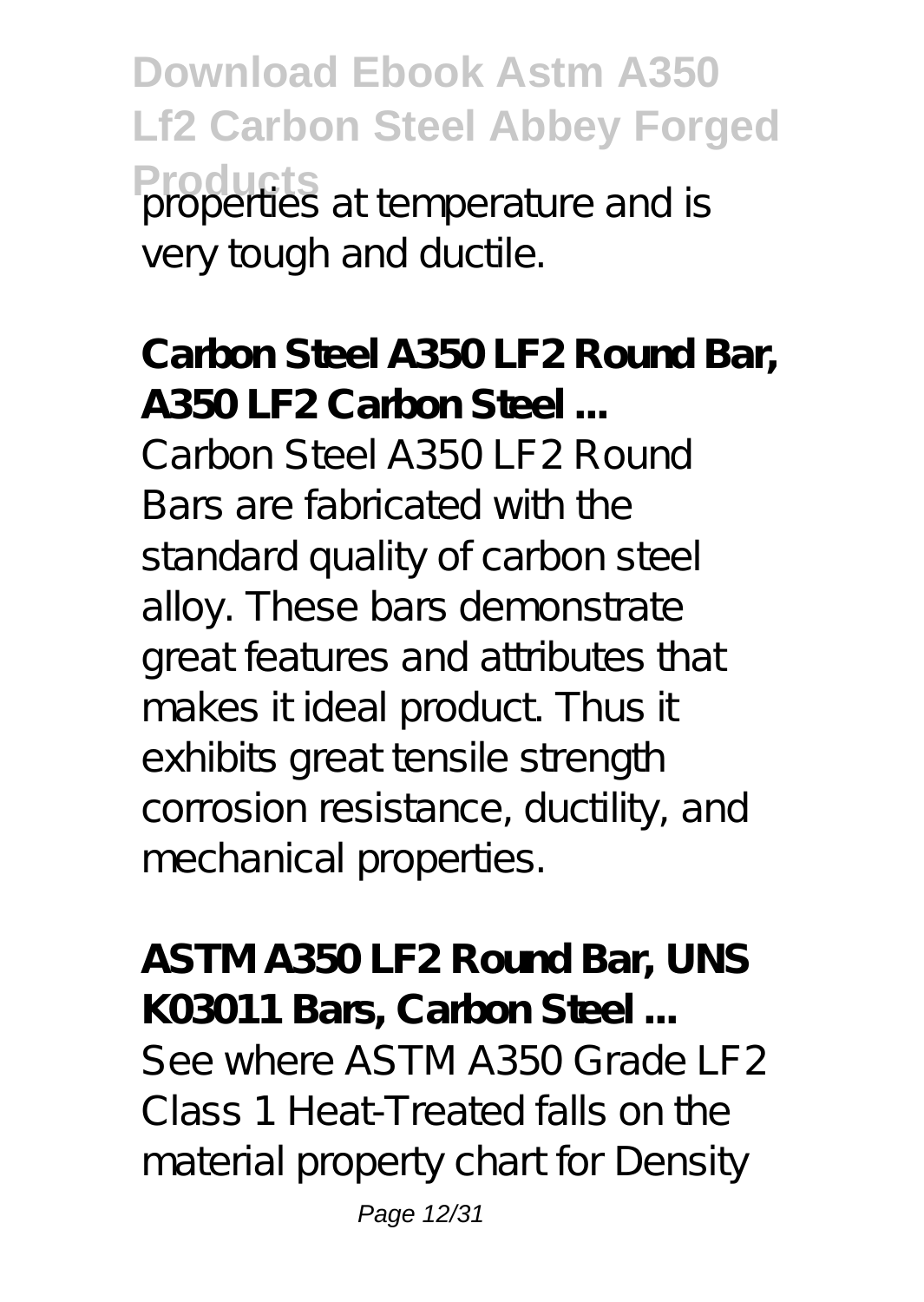**Download Ebook Astm A350 Lf2 Carbon Steel Abbey Forged Products** properties at temperature and is very tough and ductile.

**Carbon Steel A350 LF2 Round Bar, A350 LF2 Carbon Steel ...** Carbon Steel A350 LF2 Round Bars are fabricated with the standard quality of carbon steel alloy. These bars demonstrate great features and attributes that makes it ideal product. Thus it exhibits great tensile strength corrosion resistance, ductility, and mechanical properties.

**ASTM A350 LF2 Round Bar, UNS K03011 Bars, Carbon Steel ...** See where ASTM A350 Grade LF2 Class 1 Heat-Treated falls on the material property chart for Density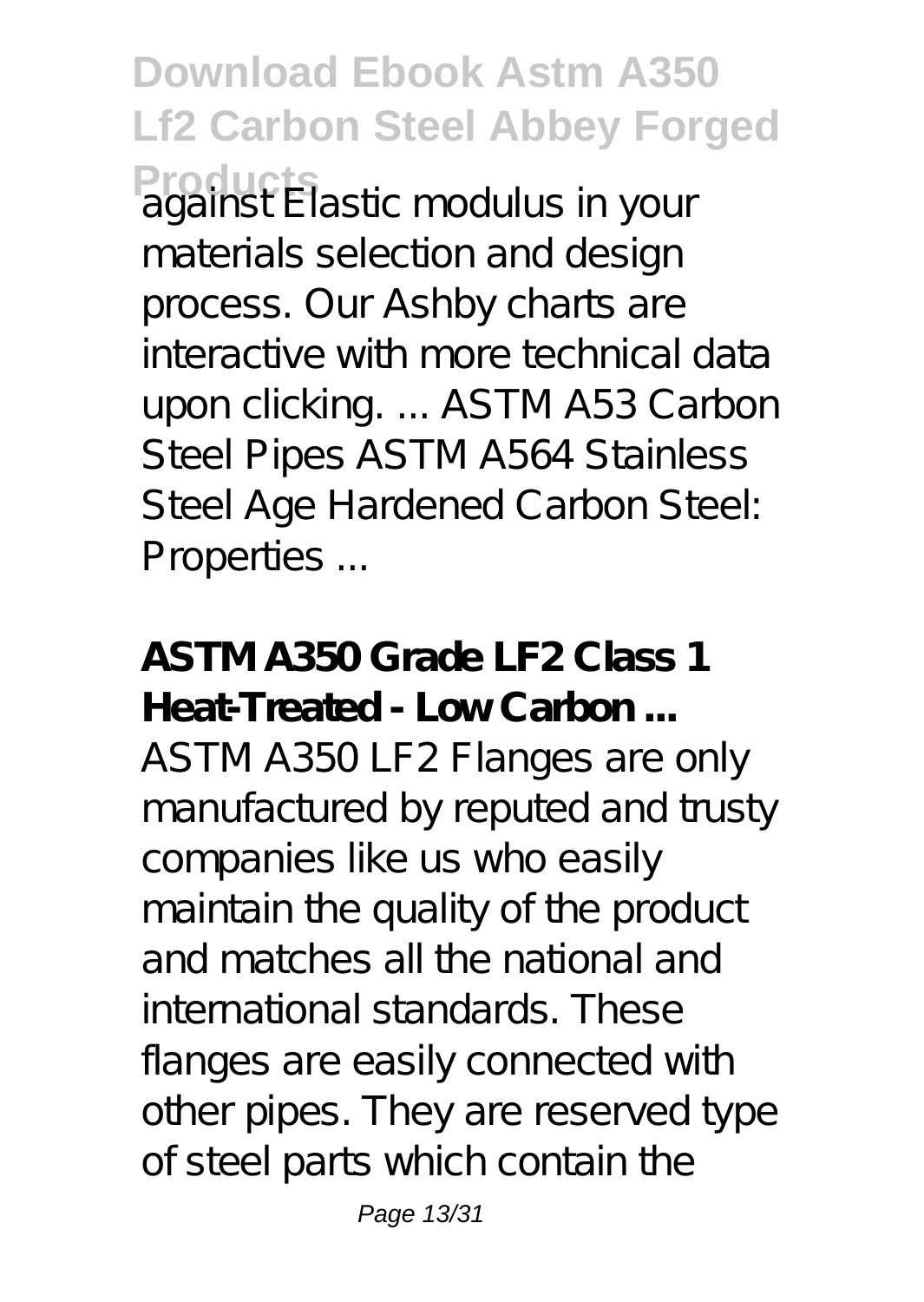**Download Ebook Astm A350 Lf2 Carbon Steel Abbey Forged Products** against Elastic modulus in your materials selection and design process. Our Ashby charts are interactive with more technical data upon clicking. ... ASTM A53 Carbon Steel Pipes ASTM A564 Stainless Steel Age Hardened Carbon Steel: Properties ...

**ASTM A350 Grade LF2 Class 1 Heat-Treated - Low Carbon ...** ASTM A350 LF2 Flanges are only manufactured by reputed and trusty companies like us who easily maintain the quality of the product and matches all the national and international standards. These flanges are easily connected with other pipes. They are reserved type of steel parts which contain the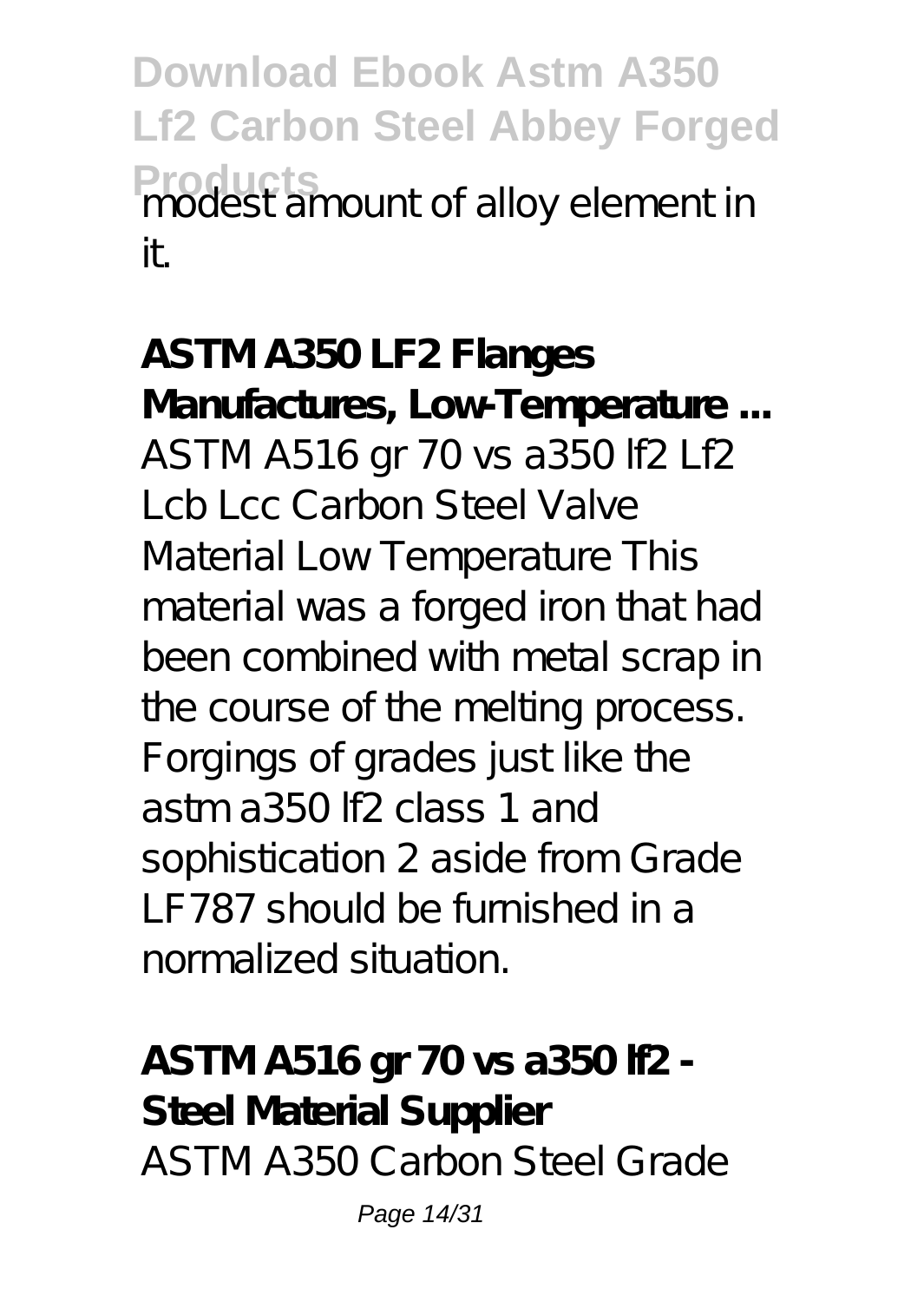**Download Ebook Astm A350 Lf2 Carbon Steel Abbey Forged** Products<br>modest amount of alloy element in it.

**ASTM A350 LF2 Flanges Manufactures, Low-Temperature ...** ASTM A516 gr 70 vs a350 lf2 Lf2 Lcb Lcc Carbon Steel Valve Material Low Temperature This material was a forged iron that had been combined with metal scrap in the course of the melting process. Forgings of grades just like the astm a350 lf2 class 1 and sophistication 2 aside from Grade LF787 should be furnished in a normalized situation.

**ASTM A516 gr 70 vs a350 lf2 - Steel Material Supplier** ASTM A350 Carbon Steel Grade

Page 14/31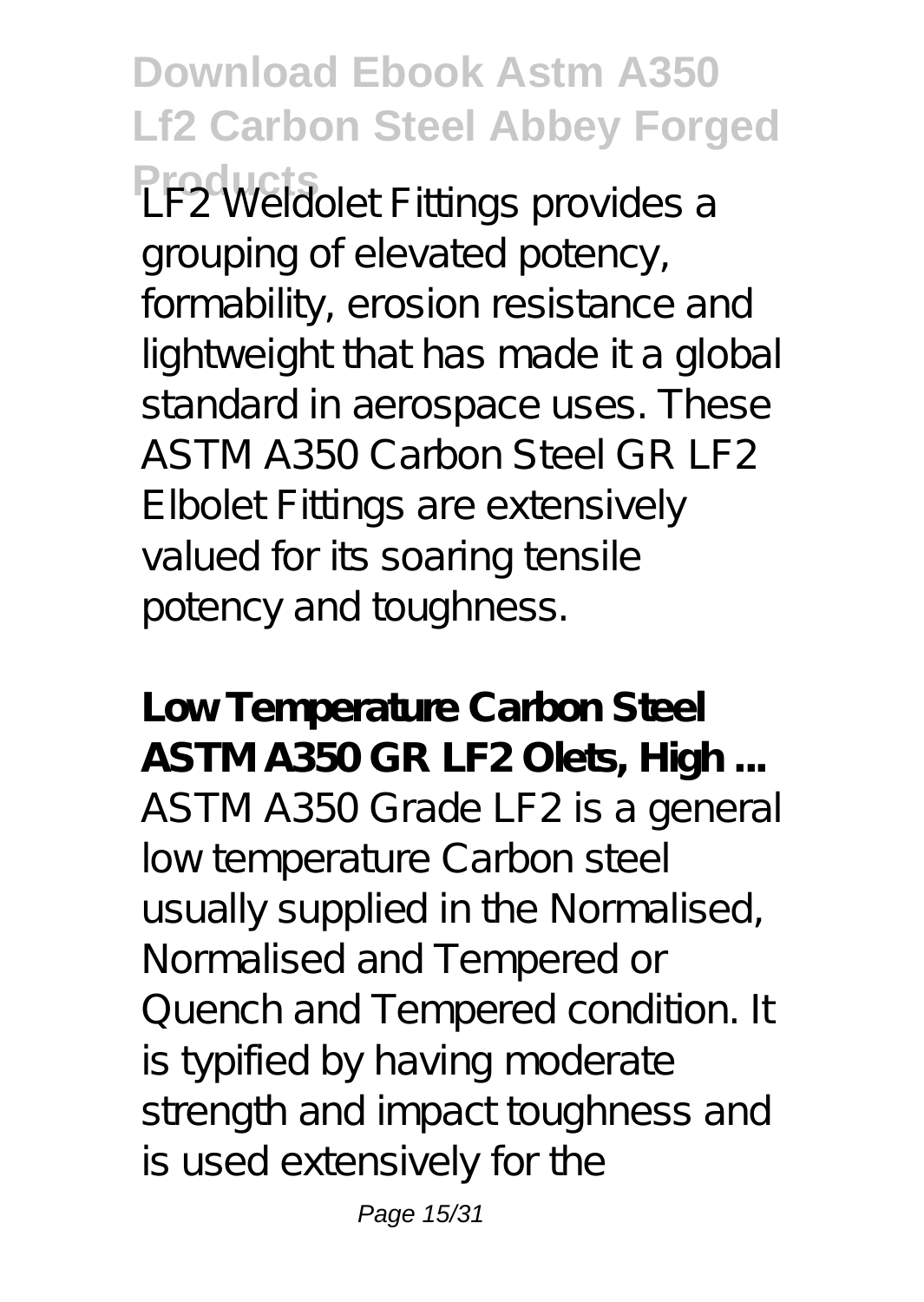**Download Ebook Astm A350 Lf2 Carbon Steel Abbey Forged LF2 Weldolet Fittings provides a** grouping of elevated potency, formability, erosion resistance and lightweight that has made it a global standard in aerospace uses. These ASTM A350 Carbon Steel GR LF2 Elbolet Fittings are extensively valued for its soaring tensile potency and toughness.

**Low Temperature Carbon Steel ASTM A350 GR LF2 Olets, High ...** ASTM A350 Grade LF2 is a general low temperature Carbon steel usually supplied in the Normalised, Normalised and Tempered or Quench and Tempered condition. It is typified by having moderate strength and impact toughness and is used extensively for the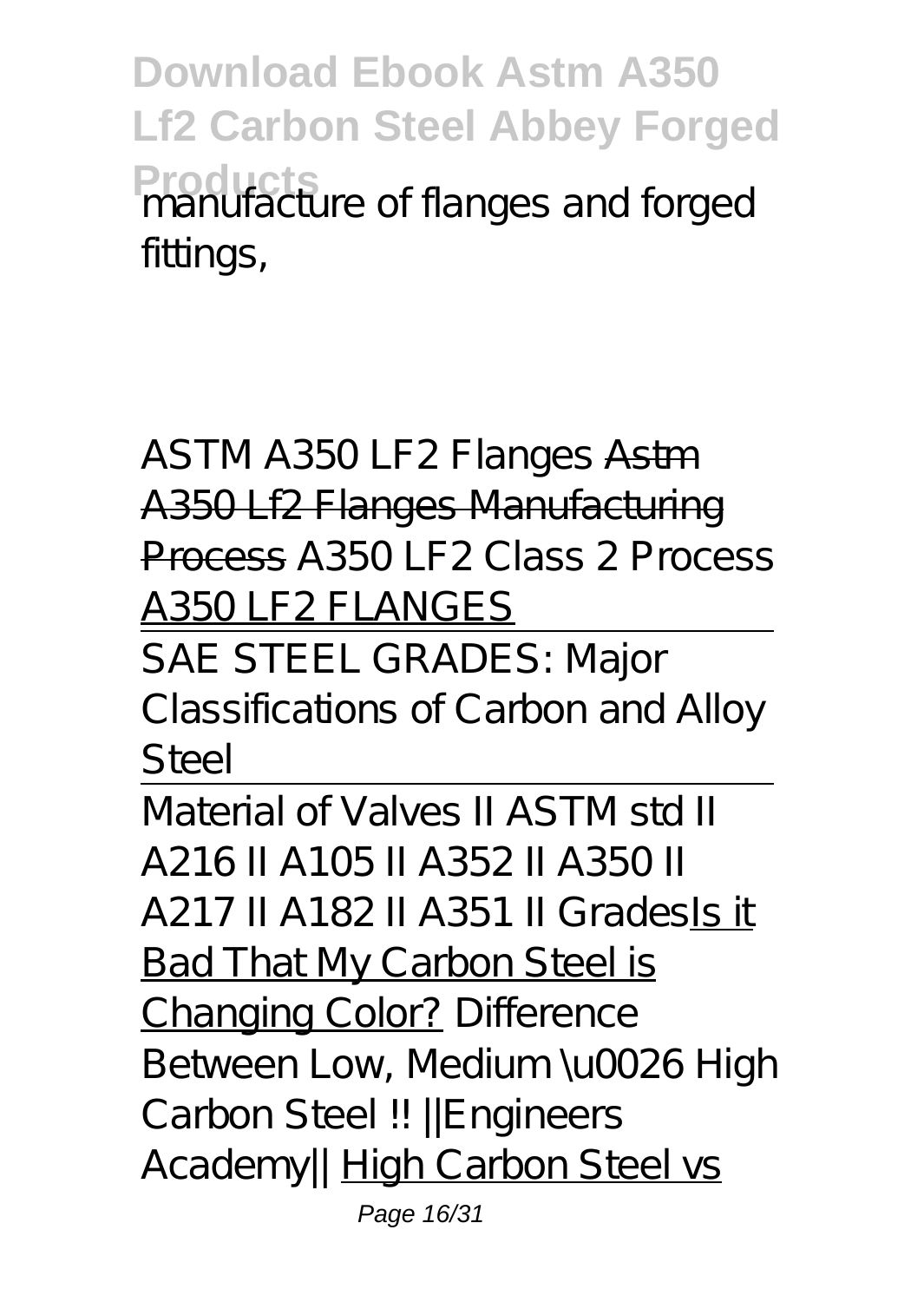**Download Ebook Astm A350 Lf2 Carbon Steel Abbey Forged** Producture of flanges and forged fittings,

ASTM A350 LF2 Flanges Astm A350 Lf2 Flanges Manufacturing Process A350 LF2 Class 2 Process A350 LF2 FLANGES

SAE STEEL GRADES: Major Classifications of Carbon and Alloy Steel

Material of Valves II ASTM std II A216 II A105 II A352 II A350 II A217 II A182 II A351 II GradesIs it Bad That My Carbon Steel is Changing Color? *Difference Between Low, Medium \u0026 High Carbon Steel !! ||Engineers* A cademy//High Carbon Steel vs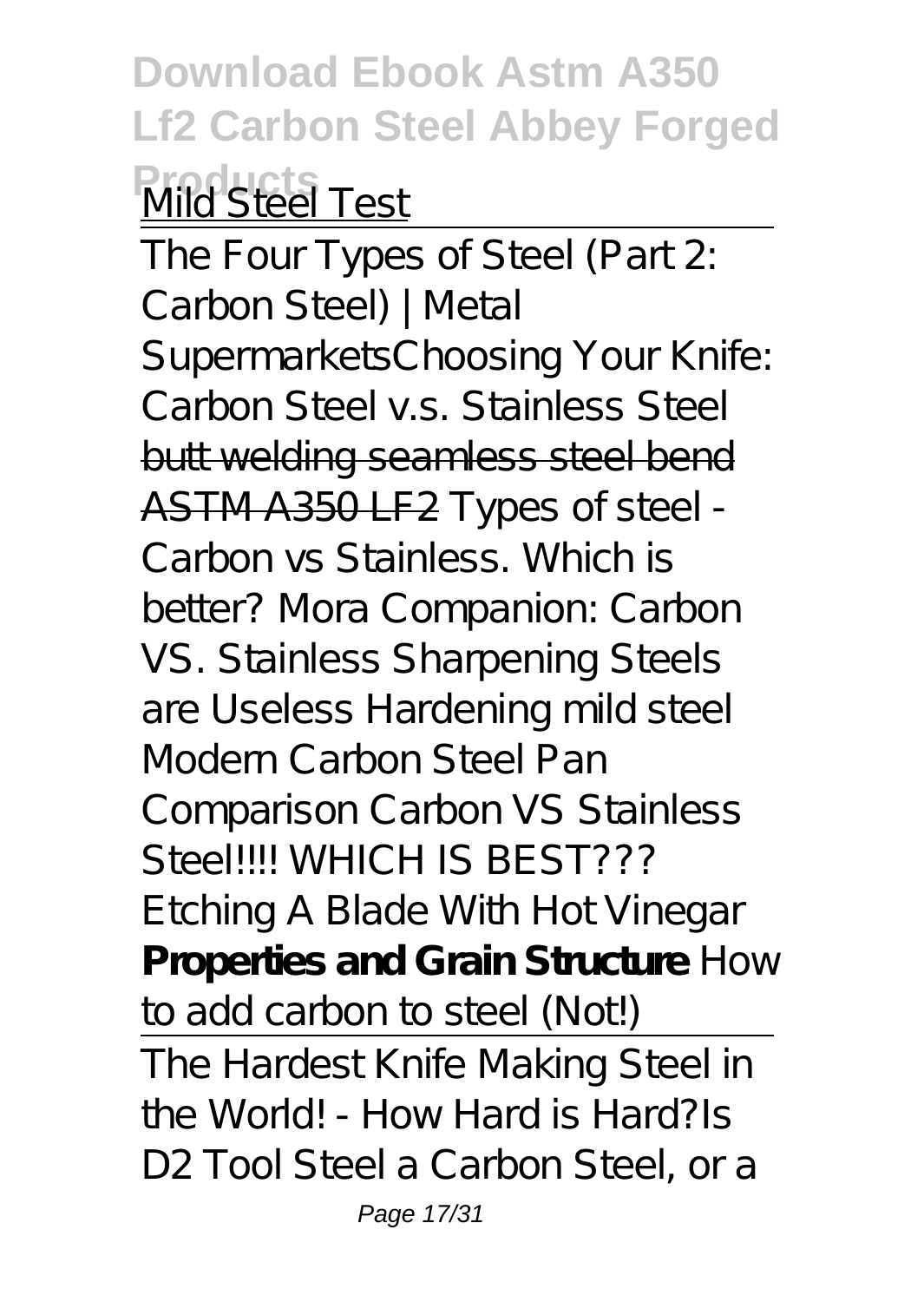**Download Ebook Astm A350 Lf2 Carbon Steel Abbey Forged Products** Mild Steel Test

The Four Types of Steel (Part 2: Carbon Steel) | Metal Supermarkets*Choosing Your Knife: Carbon Steel v.s. Stainless Steel* butt welding seamless steel bend ASTM A350 LF2 *Types of steel - Carbon vs Stainless. Which is better? Mora Companion: Carbon VS. Stainless Sharpening Steels are Useless Hardening mild steel* Modern Carbon Steel Pan Comparison *Carbon VS Stainless Steel!!!! WHICH IS BEST??? Etching A Blade With Hot Vinegar* **Properties and Grain Structure** *How to add carbon to steel (Not!)* The Hardest Knife Making Steel in

the World! - How Hard is Hard?*Is D2 Tool Steel a Carbon Steel, or a*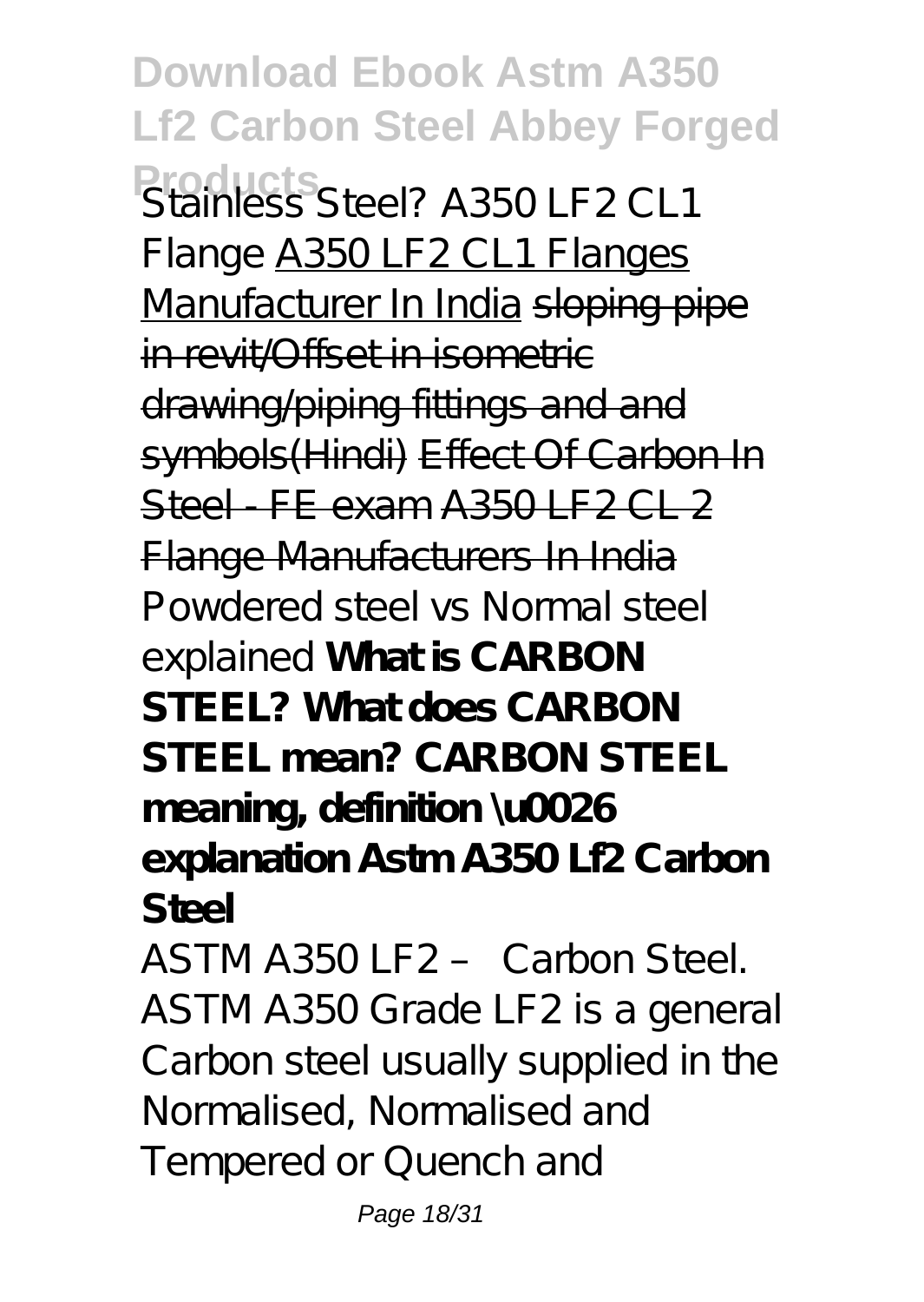**Download Ebook Astm A350 Lf2 Carbon Steel Abbey Forged Products** *Stainless Steel? A350 LF2 CL1 Flange* A350 LF2 CL1 Flanges Manufacturer In India sloping pipe in revit/Offset in isometric drawing/piping fittings and and symbols(Hindi) Effect Of Carbon In Steel FF exam  $A350$  F2 CL 2 Flange Manufacturers In India *Powdered steel vs Normal steel explained* **What is CARBON STEEL? What does CARBON STEEL mean? CARBON STEEL meaning, definition \u0026 explanation Astm A350 Lf2 Carbon Steel** ASTM A350 LF2 – Carbon Steel.

ASTM A350 Grade LF2 is a general Carbon steel usually supplied in the Normalised, Normalised and Tempered or Quench and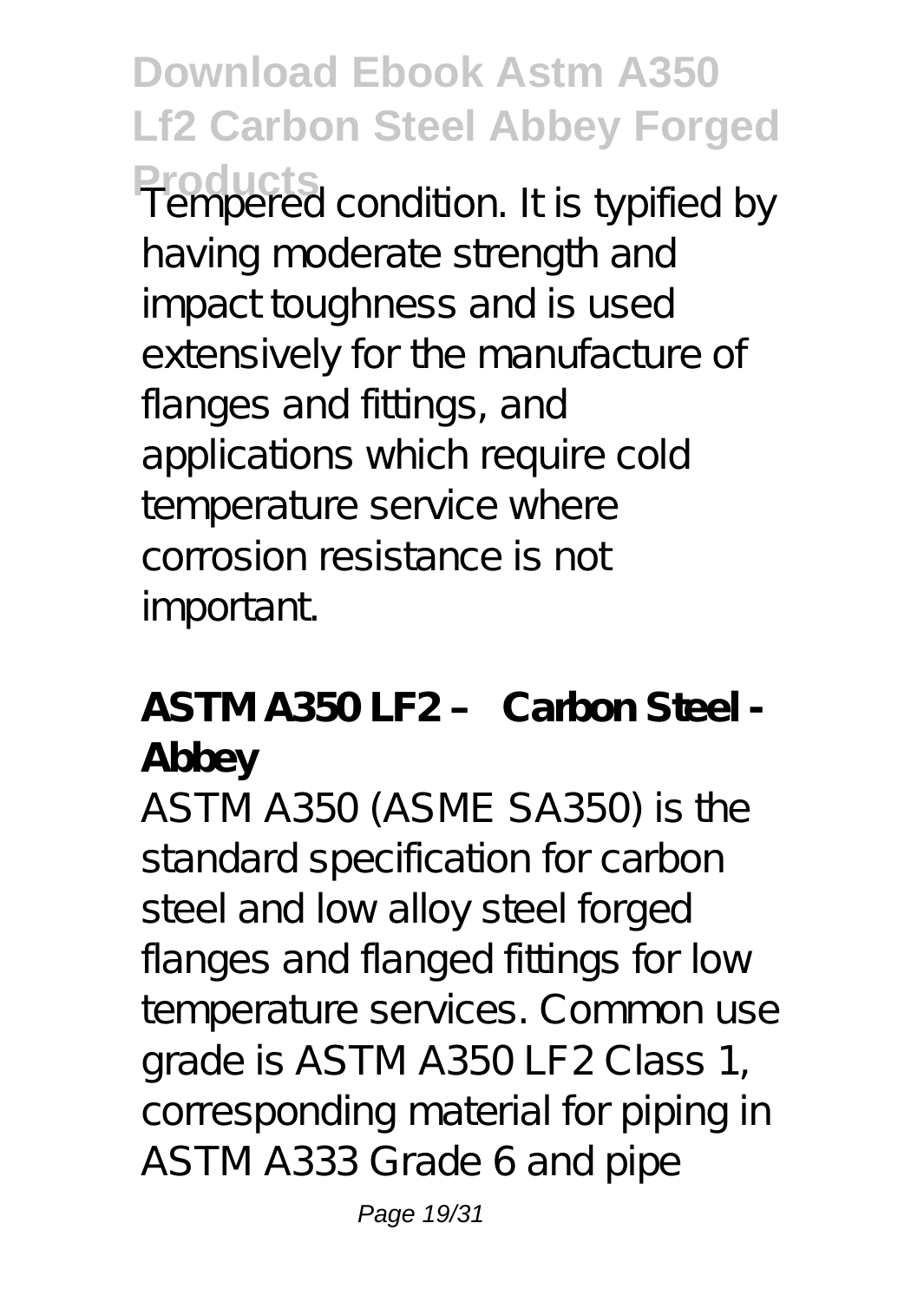**Download Ebook Astm A350 Lf2 Carbon Steel Abbey Forged Products** Tempered condition. It is typified by having moderate strength and impact toughness and is used extensively for the manufacture of flanges and fittings, and applications which require cold temperature service where corrosion resistance is not important.

#### **ASTM A350 LF2 – Carbon Steel - Abbey**

ASTM A350 (ASME SA350) is the standard specification for carbon steel and low alloy steel forged flanges and flanged fittings for low temperature services. Common use grade is ASTM A350 LF2 Class 1, corresponding material for piping in ASTM A333 Grade 6 and pipe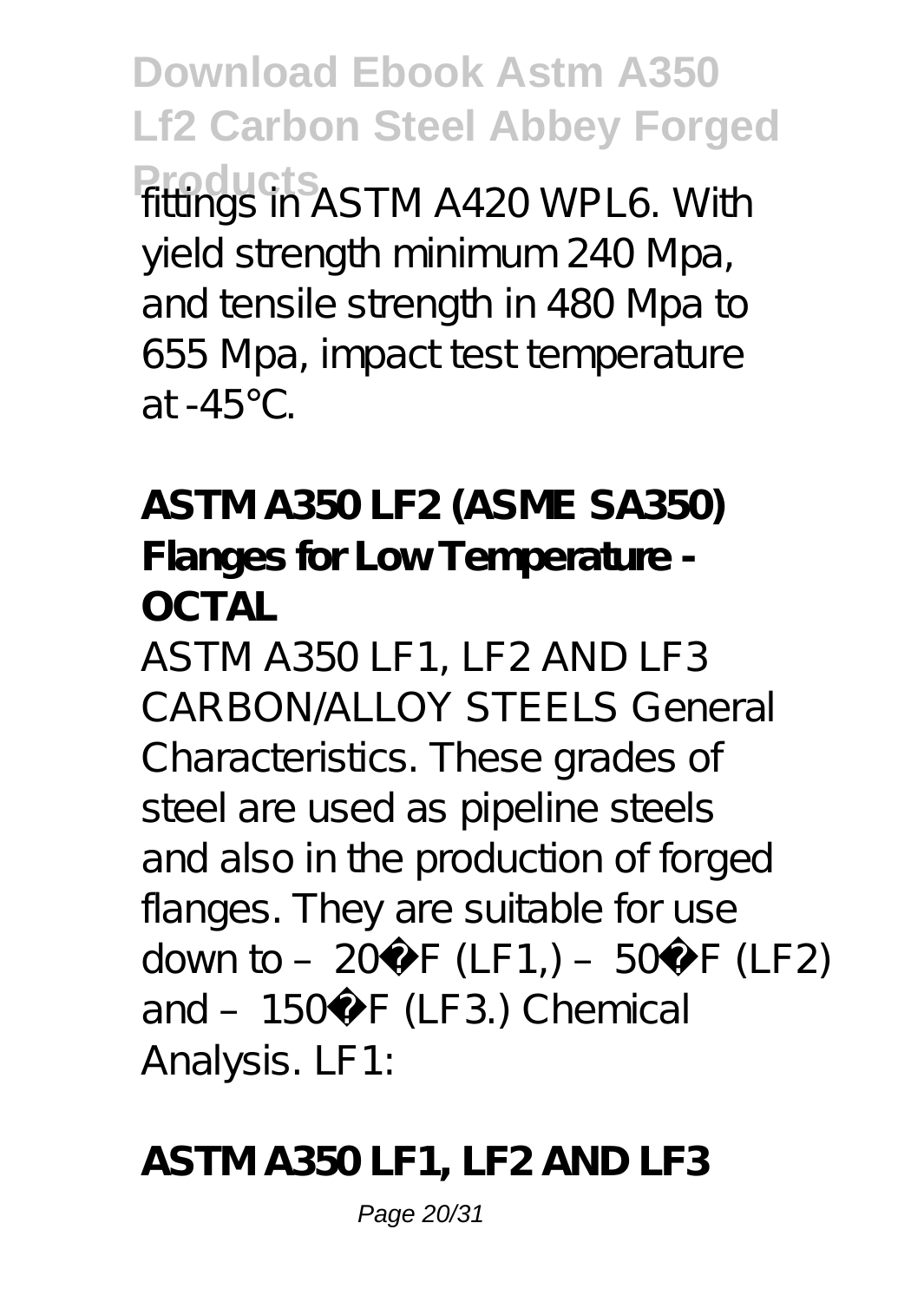**Download Ebook Astm A350 Lf2 Carbon Steel Abbey Forged Products** fittings in ASTM A420 WPL6. With yield strength minimum 240 Mpa, and tensile strength in 480 Mpa to 655 Mpa, impact test temperature at -45℃.

**ASTM A350 LF2 (ASME SA350) Flanges for Low Temperature - OCTAL**

ASTM A350 LF1, LF2 AND LF3 CARBON/ALLOY STEELS General Characteristics. These grades of steel are used as pipeline steels and also in the production of forged flanges. They are suitable for use down to – 20 $^{\circ}$  F (LF1,) – 50 $^{\circ}$  F (LF2) and - 150° F (LF3.) Chemical Analysis. LF1:

#### **ASTM A350 LF1, LF2 AND LF3**

Page 20/31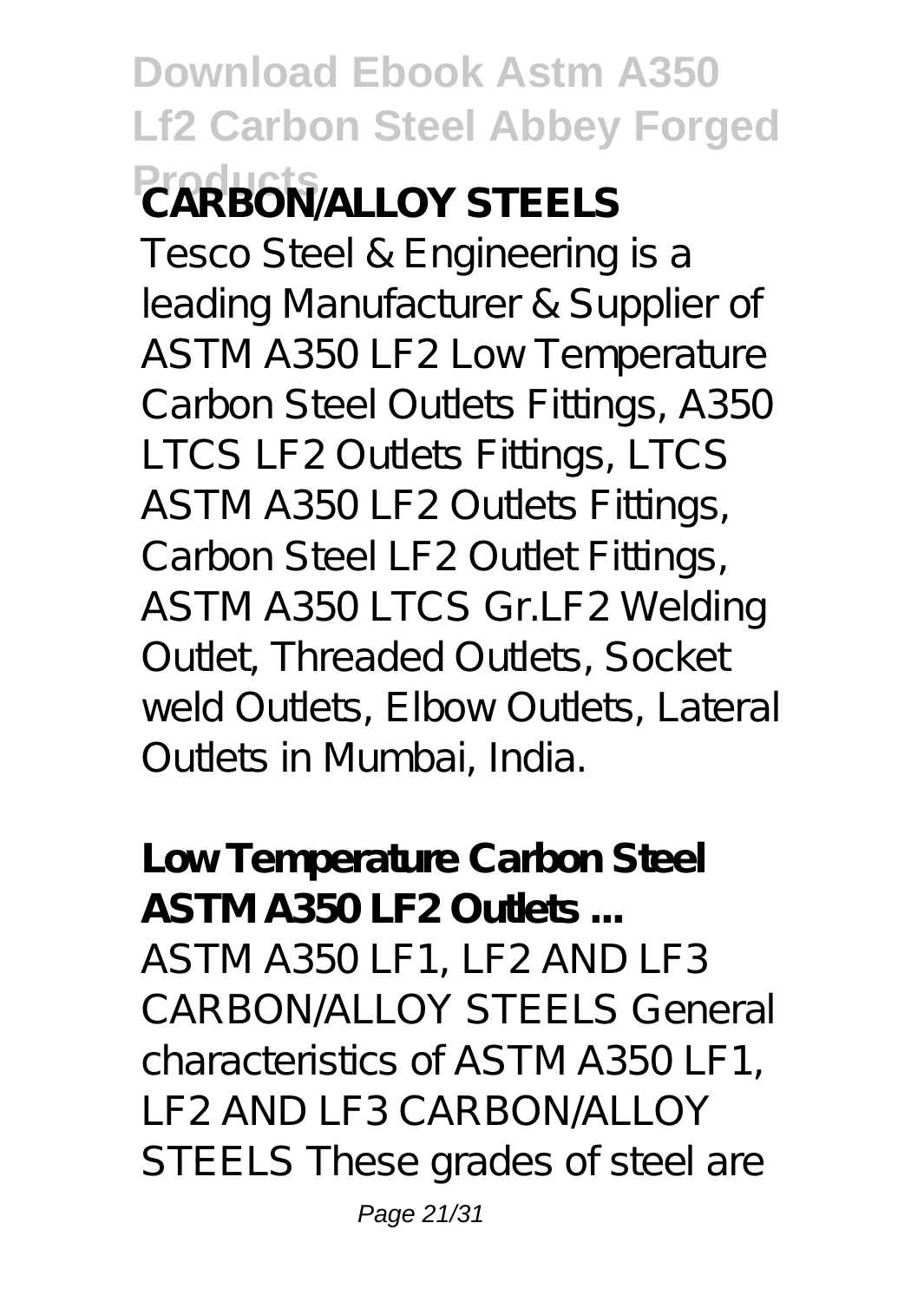## **Download Ebook Astm A350 Lf2 Carbon Steel Abbey Forged Products CARBON/ALLOY STEELS**

Tesco Steel & Engineering is a leading Manufacturer & Supplier of ASTM A350 LF2 Low Temperature Carbon Steel Outlets Fittings, A350 LTCS LF2 Outlets Fittings, LTCS ASTM A350 LF2 Outlets Fittings, Carbon Steel LF2 Outlet Fittings, ASTM A350 LTCS Gr.LF2 Welding Outlet, Threaded Outlets, Socket weld Outlets, Elbow Outlets, Lateral Outlets in Mumbai, India.

**Low Temperature Carbon Steel ASTM A350 LF2 Outlets ...** ASTM A350 LF1, LF2 AND LF3 CARBON/ALLOY STEELS General characteristics of ASTM A350 LF1, LF2 AND LF3 CARBON/ALLOY STEELS These grades of steel are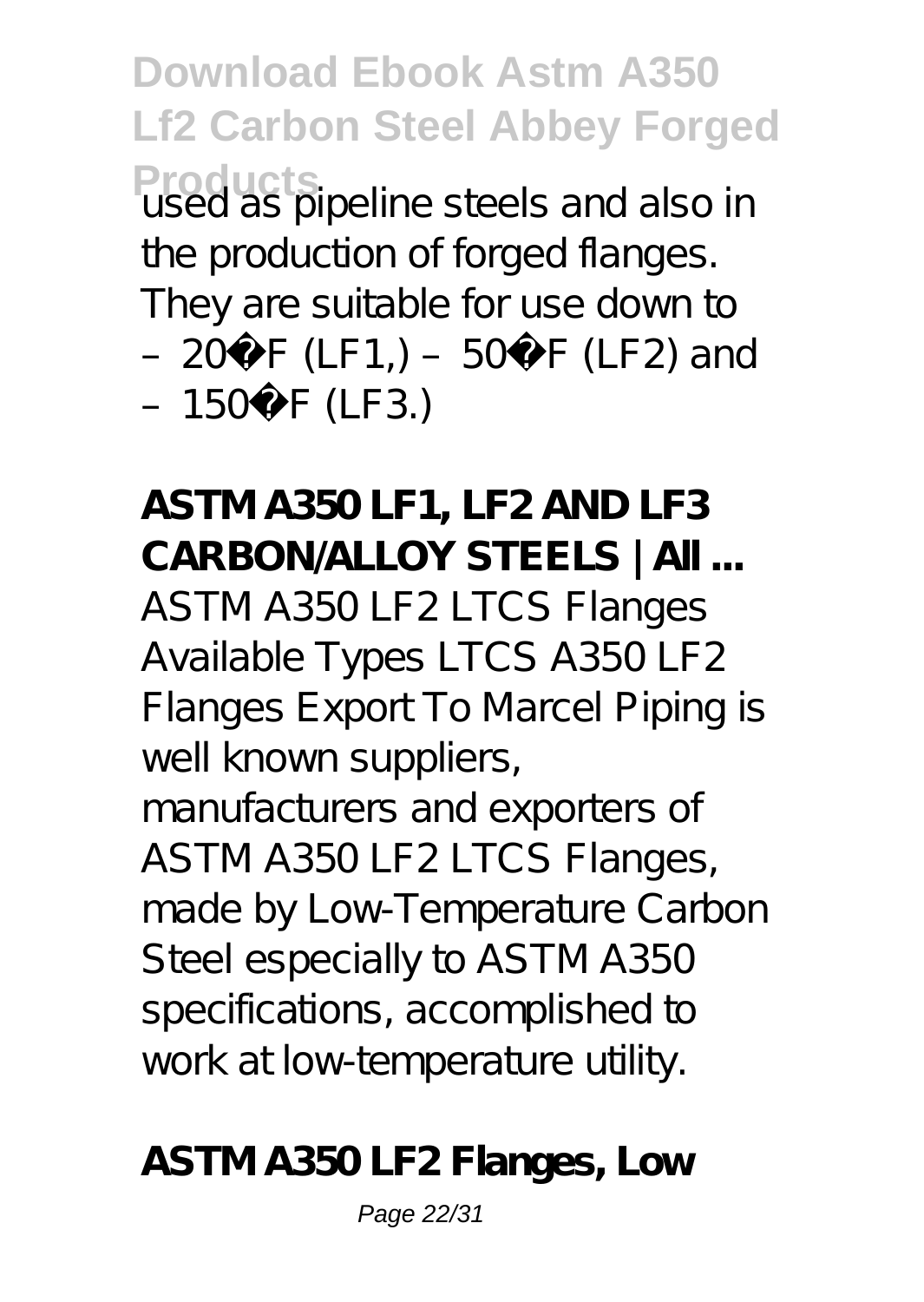**Download Ebook Astm A350 Lf2 Carbon Steel Abbey Forged Products**<br>used as pipeline steels and also in the production of forged flanges. They are suitable for use down to – 20 $\degree$  F (LF1,) – 50 $\degree$  F (LF2) and  $-150^{\circ}$  F (LF3.)

**ASTM A350 LF1, LF2 AND LF3 CARBON/ALLOY STEELS | All ...** ASTM A350 LF2 LTCS Flanges Available Types LTCS A350 LF2 Flanges Export To Marcel Piping is well known suppliers,

manufacturers and exporters of ASTM A350 LF2 LTCS Flanges, made by Low-Temperature Carbon Steel especially to ASTM A350 specifications, accomplished to work at low-temperature utility.

**ASTM A350 LF2 Flanges, Low**

Page 22/31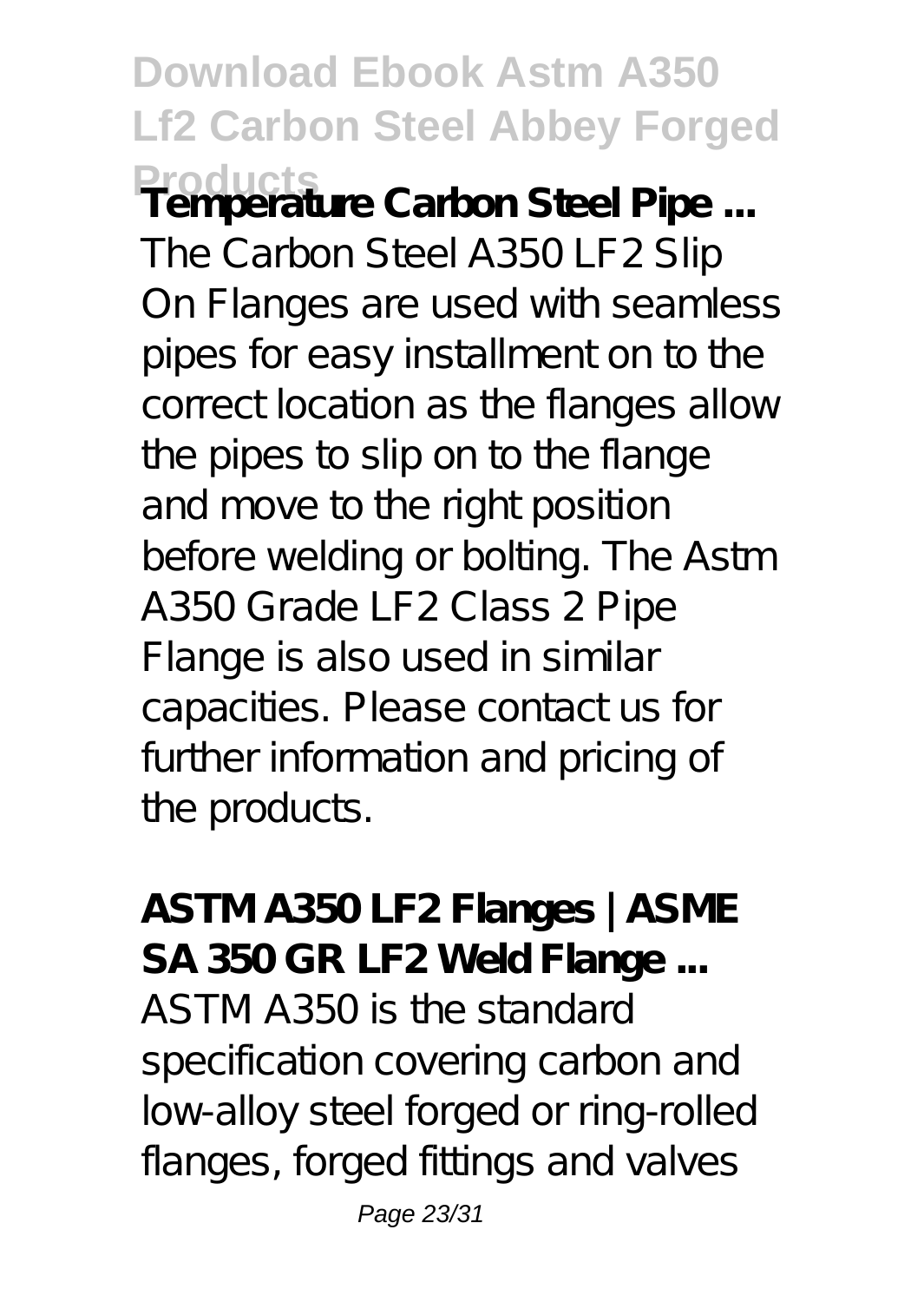## **Download Ebook Astm A350 Lf2 Carbon Steel Abbey Forged Products Temperature Carbon Steel Pipe ...**

The Carbon Steel A350 LF2 Slip On Flanges are used with seamless pipes for easy installment on to the correct location as the flanges allow the pipes to slip on to the flange and move to the right position before welding or bolting. The Astm A350 Grade LF2 Class 2 Pipe Flange is also used in similar capacities. Please contact us for further information and pricing of the products.

**ASTM A350 LF2 Flanges | ASME SA 350 GR LF2 Weld Flange ...** ASTM A350 is the standard specification covering carbon and low-alloy steel forged or ring-rolled flanges, forged fittings and valves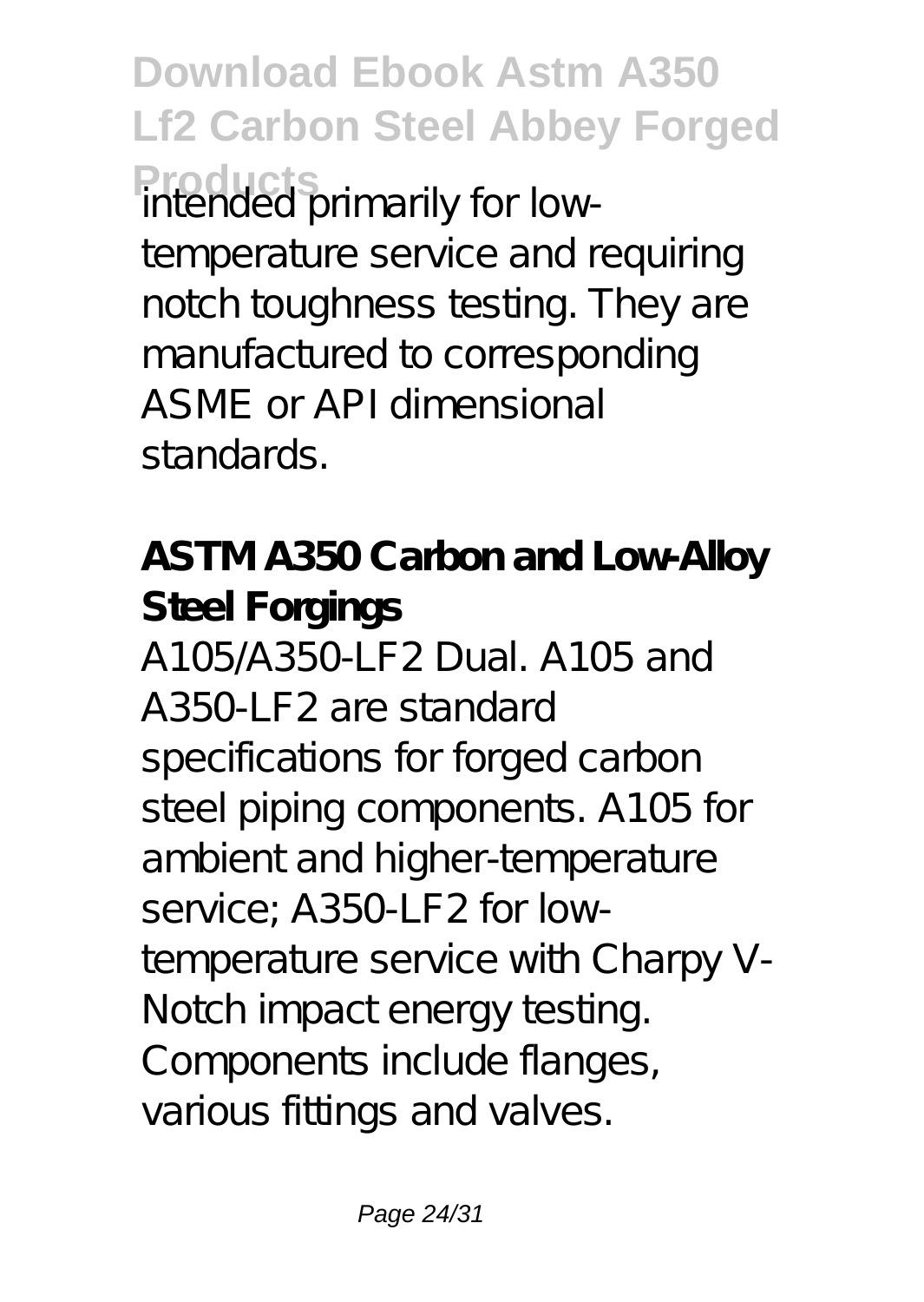**Download Ebook Astm A350 Lf2 Carbon Steel Abbey Forged Product** primarily for lowtemperature service and requiring notch toughness testing. They are manufactured to corresponding ASME or API dimensional standards.

**ASTM A350 Carbon and Low-Alloy Steel Forgings** A105/A350-LF2 Dual. A105 and A350-LF2 are standard specifications for forged carbon steel piping components. A105 for ambient and higher-temperature service; A350-LF2 for lowtemperature service with Charpy V-Notch impact energy testing. Components include flanges, various fittings and valves.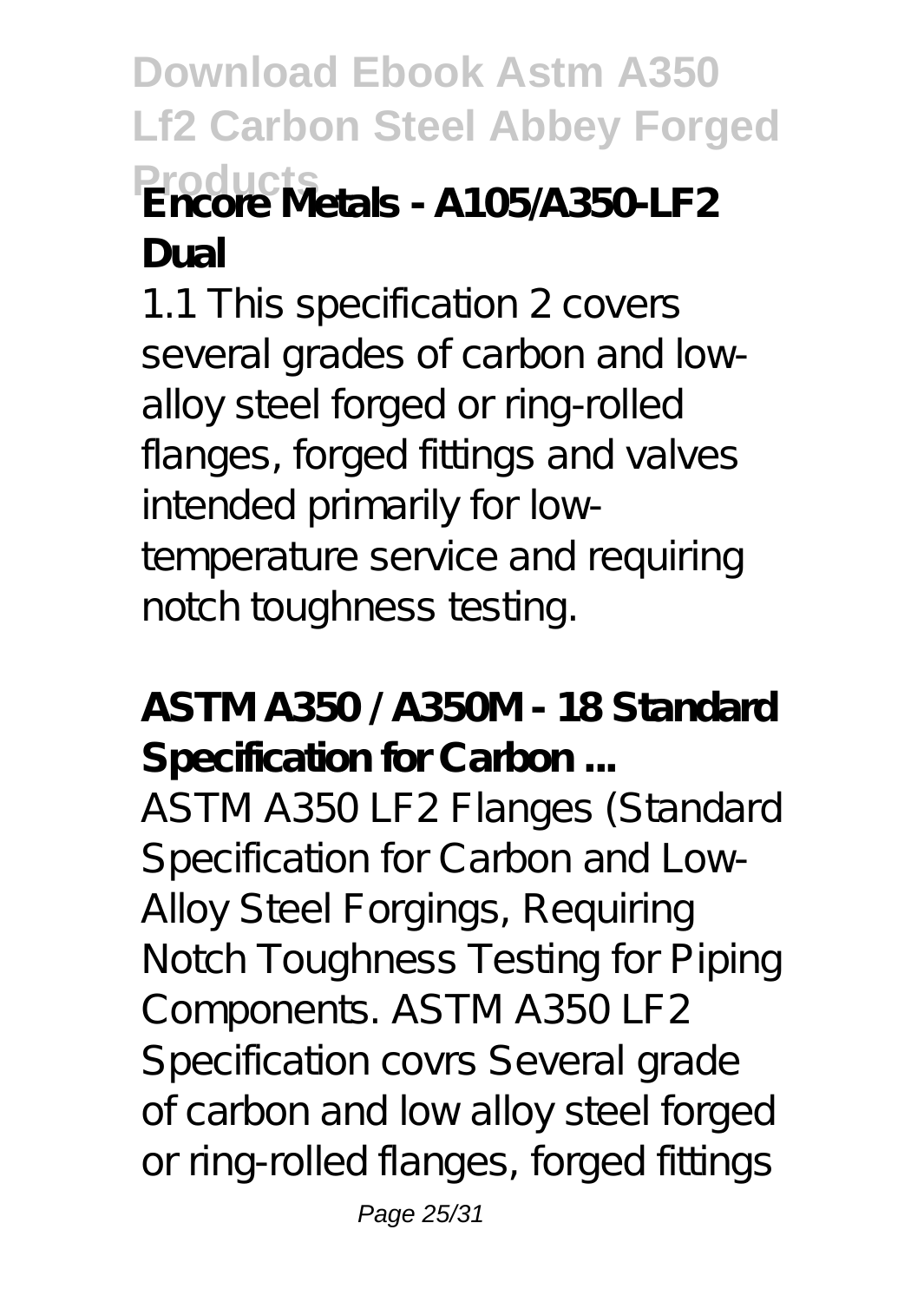**Download Ebook Astm A350 Lf2 Carbon Steel Abbey Forged Products Encore Metals - A105/A350-LF2 Dual**

1.1 This specification 2 covers several grades of carbon and lowalloy steel forged or ring-rolled flanges, forged fittings and valves intended primarily for lowtemperature service and requiring notch toughness testing.

**ASTM A350 / A350M - 18 Standard Specification for Carbon ...**

ASTM A350 LF2 Flanges (Standard Specification for Carbon and Low-Alloy Steel Forgings, Requiring Notch Toughness Testing for Piping Components. ASTM A350 LF2 Specification covrs Several grade of carbon and low alloy steel forged or ring-rolled flanges, forged fittings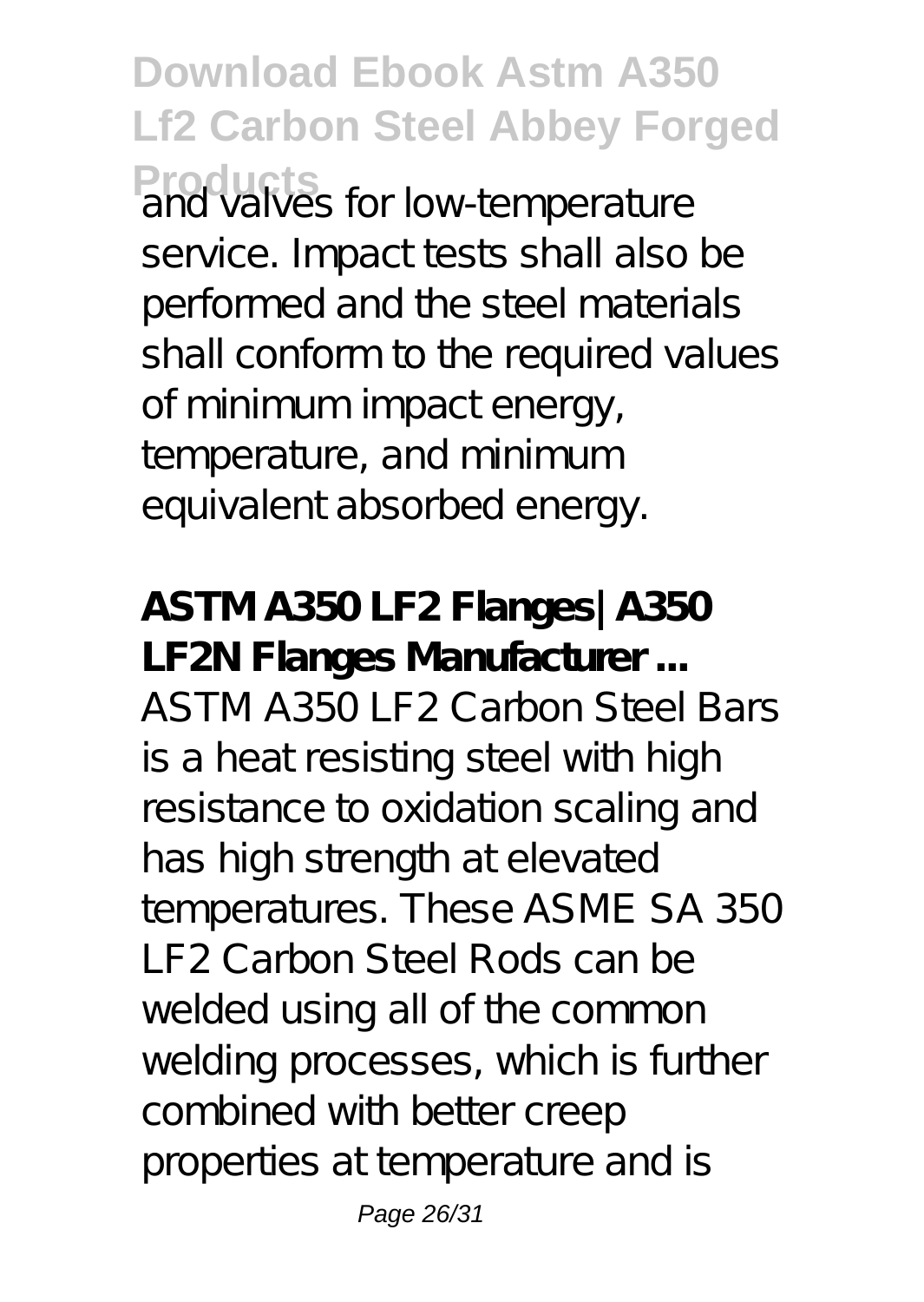**Download Ebook Astm A350 Lf2 Carbon Steel Abbey Forged Products** for low-temperature service. Impact tests shall also be performed and the steel materials shall conform to the required values of minimum impact energy, temperature, and minimum equivalent absorbed energy.

**ASTM A350 LF2 Flanges| A350 LF2N Flanges Manufacturer ...** ASTM A350 LF2 Carbon Steel Bars is a heat resisting steel with high resistance to oxidation scaling and has high strength at elevated temperatures. These ASME SA 350 LF2 Carbon Steel Rods can be welded using all of the common welding processes, which is further combined with better creep properties at temperature and is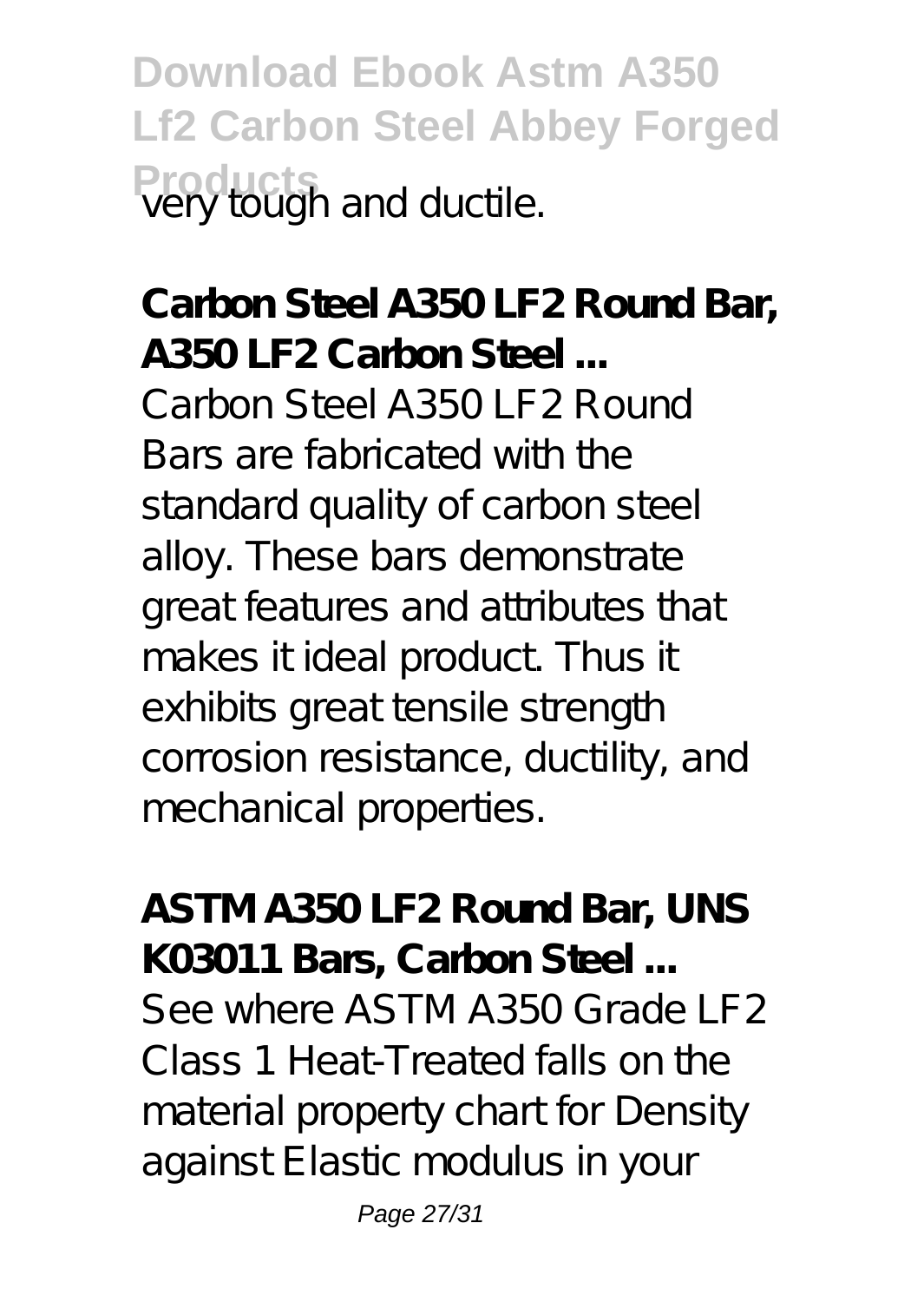**Download Ebook Astm A350 Lf2 Carbon Steel Abbey Forged Products** very tough and ductile.

**Carbon Steel A350 LF2 Round Bar, A350 LF2 Carbon Steel ...** Carbon Steel A350 LF2 Round Bars are fabricated with the standard quality of carbon steel alloy. These bars demonstrate great features and attributes that makes it ideal product. Thus it exhibits great tensile strength corrosion resistance, ductility, and mechanical properties.

**ASTM A350 LF2 Round Bar, UNS K03011 Bars, Carbon Steel ...** See where ASTM A350 Grade LF2 Class 1 Heat-Treated falls on the material property chart for Density against Elastic modulus in your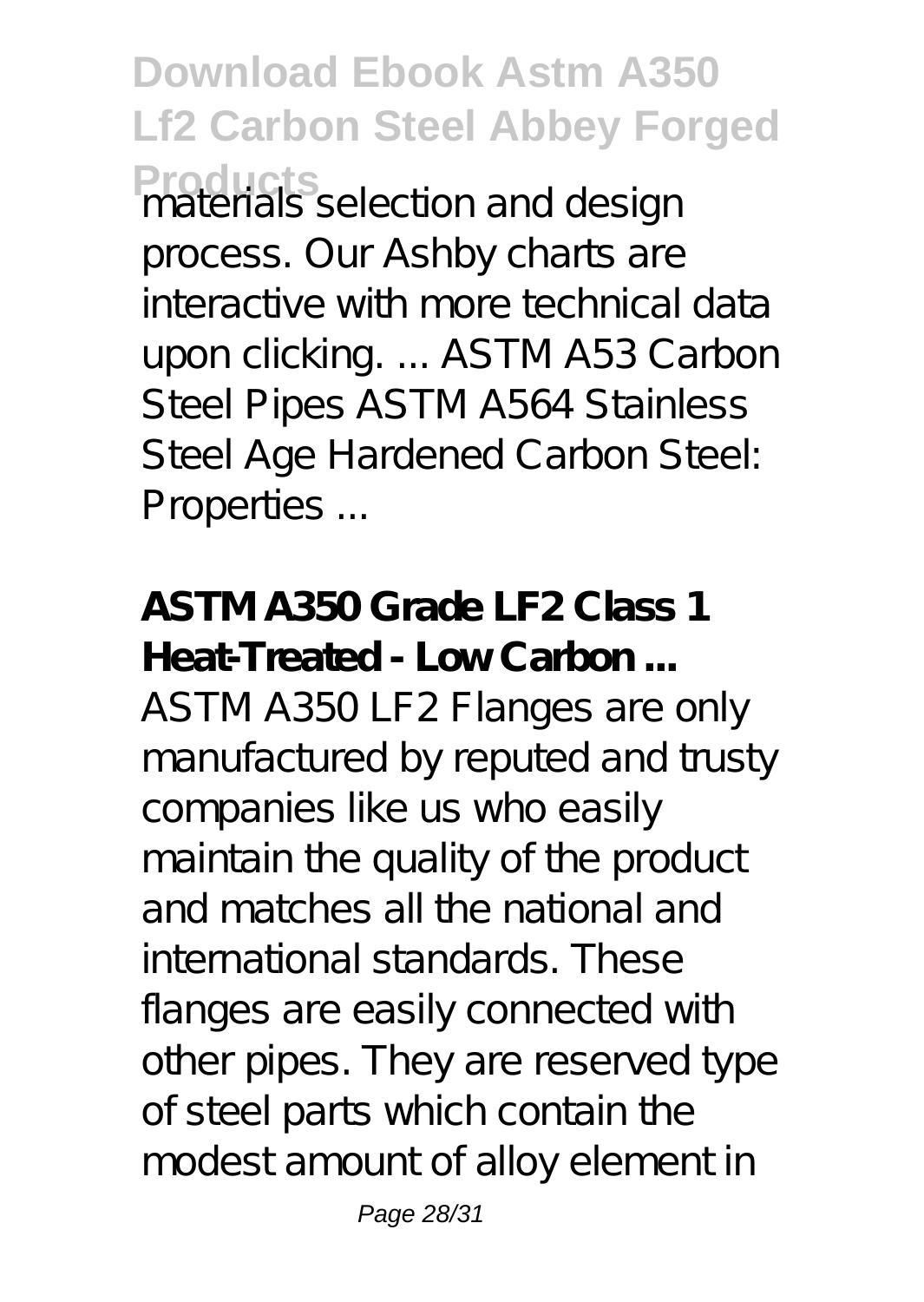**Download Ebook Astm A350 Lf2 Carbon Steel Abbey Forged Products** selection and design process. Our Ashby charts are interactive with more technical data upon clicking. ... ASTM A53 Carbon Steel Pipes ASTM A564 Stainless Steel Age Hardened Carbon Steel: Properties ...

**ASTM A350 Grade LF2 Class 1 Heat-Treated - Low Carbon ...** ASTM A350 LF2 Flanges are only manufactured by reputed and trusty companies like us who easily maintain the quality of the product and matches all the national and international standards. These flanges are easily connected with other pipes. They are reserved type of steel parts which contain the modest amount of alloy element in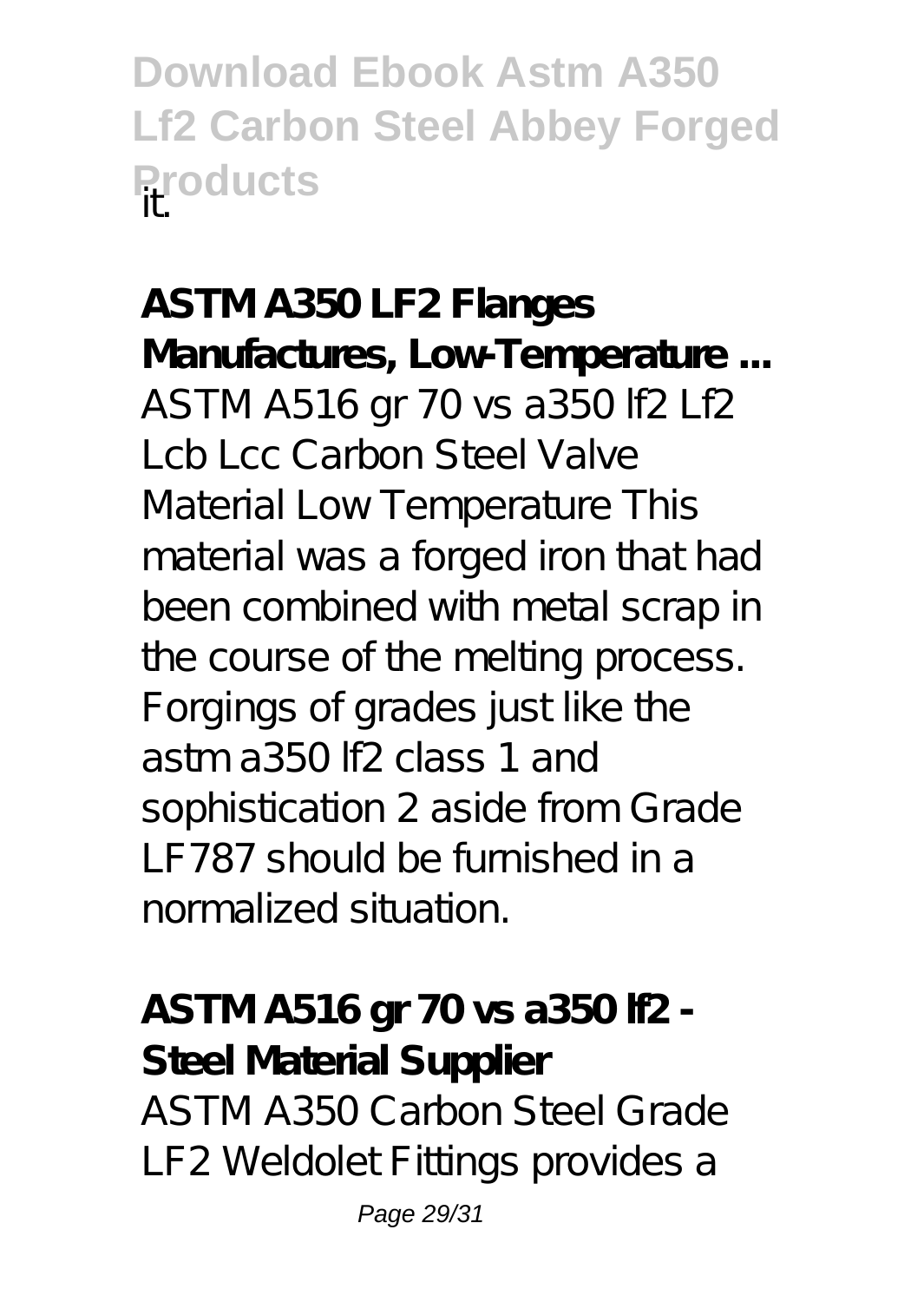**Download Ebook Astm A350 Lf2 Carbon Steel Abbey Forged Products** 

**ASTM A350 LF2 Flanges Manufactures, Low-Temperature ...** ASTM A516 gr 70 vs a350 lf2 Lf2 Lcb Lcc Carbon Steel Valve Material Low Temperature This material was a forged iron that had been combined with metal scrap in the course of the melting process. Forgings of grades just like the astm a350 lf2 class 1 and sophistication 2 aside from Grade LF787 should be furnished in a normalized situation.

**ASTM A516 gr 70 vs a350 lf2 - Steel Material Supplier** ASTM A350 Carbon Steel Grade LF2 Weldolet Fittings provides a

Page 29/31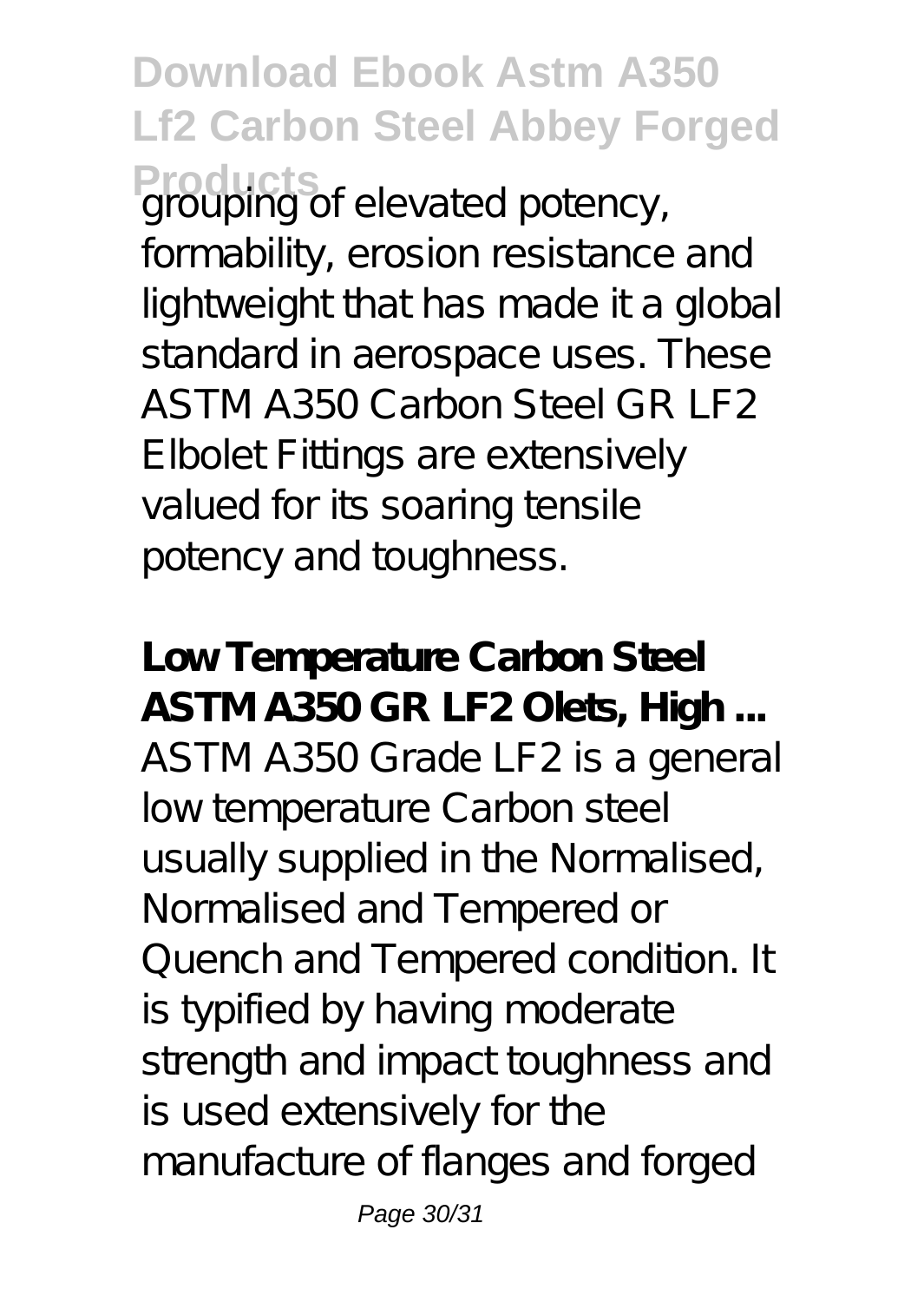**Download Ebook Astm A350 Lf2 Carbon Steel Abbey Forged** Products<br>
grouping of elevated potency, formability, erosion resistance and lightweight that has made it a global standard in aerospace uses. These ASTM A350 Carbon Steel GR LF2 Elbolet Fittings are extensively valued for its soaring tensile

potency and toughness.

**Low Temperature Carbon Steel ASTM A350 GR LF2 Olets, High ...** ASTM A350 Grade LF2 is a general low temperature Carbon steel usually supplied in the Normalised, Normalised and Tempered or Quench and Tempered condition. It is typified by having moderate strength and impact toughness and is used extensively for the manufacture of flanges and forged

Page 30/31